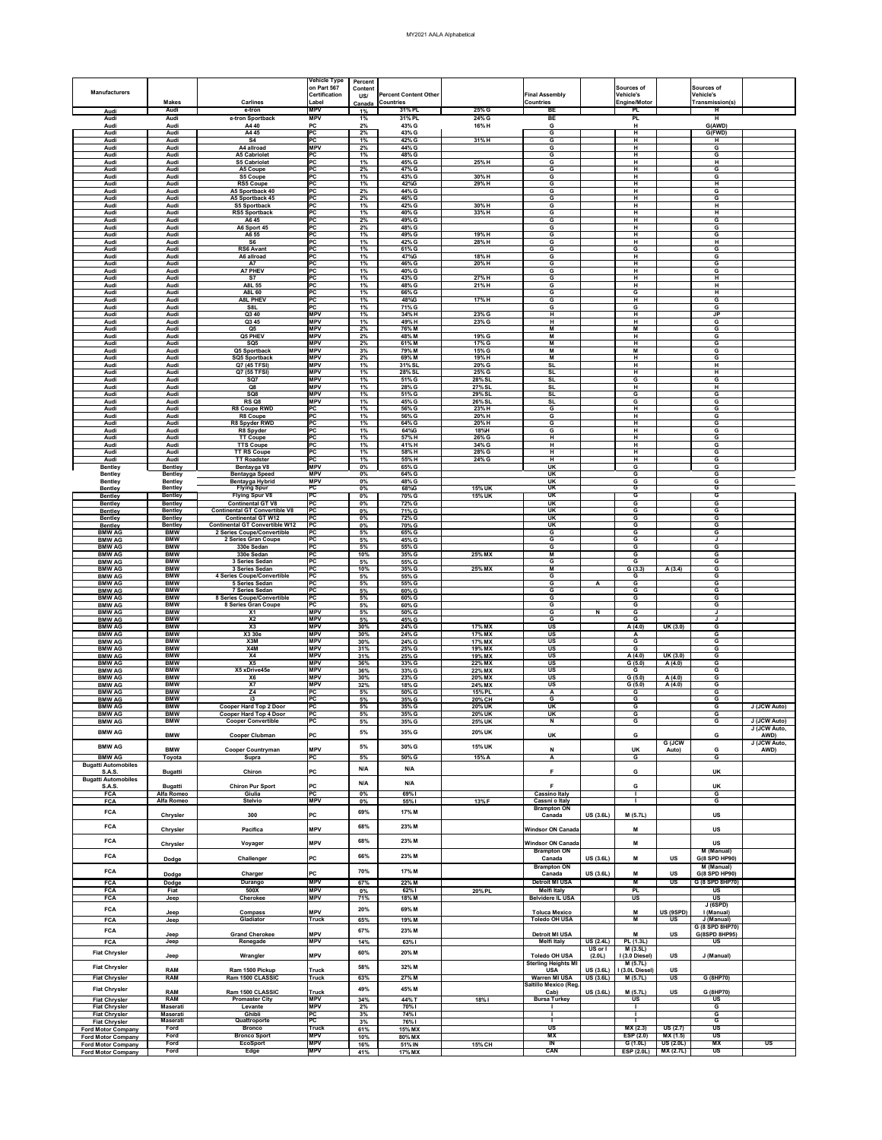|                                                        |                                                |                                                                                               | <b>Vehicle Type</b><br>on Part 567          | <b>Percent</b><br><b>Content</b> |                                                  |                                |                                                           |                     | <b>Sources of</b>                          |                                       | Sources of                                            |                              |
|--------------------------------------------------------|------------------------------------------------|-----------------------------------------------------------------------------------------------|---------------------------------------------|----------------------------------|--------------------------------------------------|--------------------------------|-----------------------------------------------------------|---------------------|--------------------------------------------|---------------------------------------|-------------------------------------------------------|------------------------------|
| <b>Manufacturers</b>                                   | <b>Makes</b>                                   | <b>Carlines</b>                                                                               | <b>Certification</b><br>Label               | US/<br>Canada                    | <b>Percent Content Other</b><br><b>Countries</b> |                                | <b>Final Assembly</b><br><b>Countries</b>                 |                     | <b>Vehicle's</b><br><b>Engine/Motor</b>    |                                       | <b>Vehicle's</b><br>Transmission(s)                   |                              |
| Audi<br>Audi                                           | <b>Audi</b><br>Audi                            | e-tron<br>e-tron Sportback                                                                    | <b>MPV</b><br><b>MPV</b>                    | 1%<br>1%                         | 31% PL<br>31% PL                                 | $25%$ G<br>24% G               | BE<br>BE                                                  |                     | <b>PL</b><br><b>PL</b>                     |                                       | $\mathsf H$<br>H                                      |                              |
| Audi<br><b>Audi</b>                                    | <b>Audi</b><br>Audi                            | A4 40<br>A4 45                                                                                | PC<br>PC                                    | 2%<br>2%                         | 43% G<br>43% G                                   | 16% H                          | G<br>G                                                    |                     | $\mathsf{H}$<br>H                          |                                       | G(AWD)<br>G(FWD)                                      |                              |
| Audi<br><b>Audi</b>                                    | Audi<br><b>Audi</b>                            | <b>S4</b><br>A4 allroad                                                                       | PC<br><b>MPV</b>                            | 1%<br>2%                         | 42% G<br>44% G                                   | 31%H                           | G<br>G                                                    |                     | H<br>H                                     |                                       | н<br>G                                                |                              |
| Audi<br>Audi                                           | Audi<br>Audi                                   | <b>A5 Cabriolet</b><br><b>S5 Cabriolet</b>                                                    | PC<br><b>PC</b>                             | 1%<br>1%                         | 48% G<br>45% G                                   | 25%H                           | G<br>G                                                    |                     | H<br>H                                     |                                       | G<br>H                                                |                              |
| Audi<br>Audi                                           | Audi<br>Audi                                   | A5 Coupe<br><b>S5 Coupe</b>                                                                   | PC<br>PC                                    | 2%<br>1%                         | 47% G<br>43% G                                   | 30%H                           | G<br>G                                                    |                     | H<br>H                                     |                                       | G<br>G                                                |                              |
| <b>Audi</b><br>Audi                                    | Audi<br>Audi                                   | <b>RS5 Coupe</b><br>A5 Sportback 40                                                           | PC <br>PC<br> PC                            | 1%<br>2%                         | 42%G<br>44% G                                    | 29%H                           | G<br>G                                                    |                     | H<br>H<br>H                                |                                       | H<br>G                                                |                              |
| Audi<br>Audi<br>Audi                                   | Audi<br><b>Audi</b><br>Audi                    | A5 Sportback 45<br><b>S5 Sportback</b><br><b>RS5 Sportback</b>                                | PC<br>PC                                    | 2%<br>1%<br>1%                   | 46% G<br>42% G<br>40% G                          | 30%H<br>33%H                   | G<br>G<br>G                                               |                     | H<br>H                                     |                                       | G<br>H<br>H                                           |                              |
| Audi<br>Audi                                           | Audi<br><b>Audi</b>                            | A645<br>A6 Sport 45                                                                           | PC<br>PC                                    | 2%<br>2%                         | 49% G<br>48% G                                   |                                | G<br>G                                                    |                     | H<br>H                                     |                                       | G<br>G                                                |                              |
| <b>Audi</b><br><b>Audi</b>                             | <b>Audi</b><br><b>Audi</b>                     | A6 55<br>S <sub>6</sub>                                                                       | PC <br>PC                                   | 1%<br>1%                         | 49% G<br>42% G                                   | 19% H<br>28% H                 | G<br>G                                                    |                     | H<br>H                                     |                                       | G<br>H                                                |                              |
| <b>Audi</b><br><b>Audi</b>                             | Audi<br><b>Audi</b>                            | <b>RS6 Avant</b><br>A6 allroad                                                                | <b>PC</b><br> PC                            | 1%<br>1%                         | 61% G<br>47%G                                    | 18% H                          | G<br>G                                                    |                     | G<br>H                                     |                                       | G<br>G                                                |                              |
| Audi<br>Audi                                           | <b>Audi</b><br><b>Audi</b>                     | A7<br><b>A7 PHEV</b>                                                                          | PC<br> PC                                   | 1%<br>1%                         | 46% G<br>40% G                                   | 20%H                           | G<br>G                                                    |                     | H<br>H                                     |                                       | G<br>G                                                |                              |
| Audi<br>Audi                                           | <b>Audi</b><br>Audi                            | <b>S7</b><br>A8L 55                                                                           | PC<br>PC                                    | 1%<br>1%                         | 43% G<br>48% G                                   | 27%H<br>21%H                   | G<br>G                                                    |                     | H<br>H                                     |                                       | H<br>H                                                |                              |
| <b>Audi</b><br>Audi                                    | <b>Audi</b><br>Audi                            | A8L 60<br><b>A8L PHEV</b>                                                                     | PC<br>PC                                    | 1%<br>1%                         | 66% G<br>48%G                                    | 17%H                           | G<br>G                                                    |                     | G<br>H                                     |                                       | H<br>G                                                |                              |
| Audi<br>Audi                                           | Audi<br>Audi                                   | S8L<br>Q3 40                                                                                  | PC <br><b>MPV</b>                           | 1%<br>1%                         | 71% G<br>34%H                                    | 23% G                          | G<br>H                                                    |                     | G<br>H                                     |                                       | G<br><b>JP</b>                                        |                              |
| Audi<br>Audi                                           | Audi<br>Audi                                   | Q3 45<br>Q <sub>5</sub>                                                                       | <b>MPV</b><br><b>MPV</b>                    | 1%<br>2%                         | 49%H<br>76% M                                    | 23% G                          | H<br>M                                                    |                     | H<br>M                                     |                                       | G<br>G                                                |                              |
| Audi<br>Audi                                           | Audi<br><b>Audi</b>                            | Q5 PHEV<br>SQ <sub>5</sub>                                                                    | <b>MPV</b><br><b>MPV</b>                    | $2\%$<br>2%                      | 48% M<br>61% M                                   | 19% G<br>17% G                 | M<br>M                                                    |                     | Н<br>H                                     |                                       | G<br>G                                                |                              |
| Audi<br>Audi<br>Audi                                   | Audi<br>Audi<br>Audi                           | Q5 Sportback<br><b>SQ5 Sportback</b><br>Q7 (45 TFSI)                                          | <b>MPV</b><br><b>MPV</b><br><b>MPV</b>      | 3%<br>2%<br>1%                   | 79% M<br>69% M<br>31% SL                         | 15% G<br>19% H<br>20% G        | M<br>M<br><b>SL</b>                                       |                     | M<br>H<br>H                                |                                       | G<br>G<br>H                                           |                              |
| Audi<br>Audi                                           | <b>Audi</b><br>Audi                            | Q7 (55 TFSI)<br>SQ7                                                                           | <b>MPV</b><br><b>MPV</b>                    | 1%<br>1%                         | 28% SL<br>51% G                                  | 25% G<br>28% SL                | <b>SL</b><br><b>SL</b>                                    |                     | H<br>G                                     |                                       | H<br>G                                                |                              |
| <b>Audi</b><br>Audi                                    | Audi<br>Audi                                   | Q8<br>SQ8                                                                                     | <b>MPV</b><br><b>MPV</b>                    | 1%<br>1%                         | 28% G<br>51% G                                   | 27% SL<br>29% SL               | SL<br><b>SL</b>                                           |                     | H<br>G                                     |                                       | H<br>G                                                |                              |
| <b>Audi</b><br>Audi                                    | Audi<br>Audi                                   | RS Q8<br><b>R8 Coupe RWD</b>                                                                  | <b>MPV</b><br>PC                            | 1%<br>1%                         | 45% G<br>56% G                                   | 26% SL<br>23%H                 | <b>SL</b><br>G                                            |                     | G<br>H                                     |                                       | G<br>G                                                |                              |
| <b>Audi</b><br>Audi                                    | Audi<br>Audi                                   | R8 Coupe<br>R8 Spyder RWD                                                                     | <b>PC</b><br>PC                             | 1%<br>1%                         | 56% G<br>64% G                                   | 20%H<br>20%H                   | G<br>G                                                    |                     | H<br>H                                     |                                       | G<br>G                                                |                              |
| Audi<br><b>Audi</b>                                    | Audi<br><b>Audi</b>                            | R8 Spyder<br><b>TT Coupe</b>                                                                  | PC<br>PC                                    | 1%<br>1%                         | 64%G<br>57%H                                     | 18%H<br>26% G                  | G<br>H                                                    |                     | H<br>H                                     |                                       | G<br>G                                                |                              |
| Audi<br>Audi                                           | Audi<br>Audi                                   | <b>TTS Coupe</b><br><b>TT RS Coupe</b>                                                        | PC<br><b>PC</b>                             | 1%<br>1%                         | 41%H<br>58% H                                    | 34% G<br>28% G                 | H<br>H                                                    |                     | H<br>H                                     |                                       | G<br>G                                                |                              |
| Audi<br><b>Bentley</b>                                 | Audi<br><b>Bentley</b>                         | <b>TT Roadster</b><br>Bentayga V8                                                             | PC<br><b>MPV</b>                            | 1%<br>$0\%$                      | 55% H<br>65% G                                   | 24% G                          | H<br><b>UK</b>                                            |                     | H<br>G                                     |                                       | G<br>G                                                |                              |
| <b>Bentley</b><br><b>Bentley</b>                       | <b>Bentley</b><br><b>Bentley</b>               | <b>Bentayga Speed</b><br>Bentayga Hybrid                                                      | <b>MPV</b><br><b>MPV</b>                    | $0\%$<br>$0\%$                   | 64% G<br>48% G                                   |                                | <b>UK</b><br><b>UK</b>                                    |                     | G<br>G                                     |                                       | G<br>G                                                |                              |
| <b>Bentley</b><br><b>Bentley</b>                       | <b>Bentley</b><br><b>Bentley</b>               | <b>Flying Spur</b><br><b>Flying Spur V8</b>                                                   | PC<br>PC                                    | 0%<br>$0\%$                      | 68%G<br>70% G                                    | <b>15% UK</b><br><b>15% UK</b> | UK<br>UK                                                  |                     | G<br>G                                     |                                       | G<br>G                                                |                              |
| <b>Bentley</b><br><b>Bentley</b>                       | <b>Bentley</b><br><b>Bentley</b>               | <b>Continental GT V8</b><br><b>Continental GT Convertible V8</b><br><b>Continental GT W12</b> | $\overline{PC}$<br>$\overline{PC}$<br>PC    | $0\%$<br>$0\%$                   | 72% G<br>71% G                                   |                                | $\overline{\mathsf{U}}$ K<br><b>UK</b>                    |                     | G<br>G<br>$\overline{G}$                   |                                       | G<br>G                                                |                              |
| <b>Bentley</b><br><b>Bentley</b><br><b>BMW AG</b>      | <b>Bentley</b><br><b>Bentley</b><br><b>BMW</b> | <b>Continental GT Convertible W12</b><br>2 Series Coupe/Convertible                           | PC<br>$\overline{PC}$                       | 0%<br>$0\%$<br>5%                | 72% G<br>70% G<br>65% G                          |                                | $\overline{\mathsf{U}}$ K<br>$\overline{\mathsf{u}}$<br>G |                     | G<br>$\overline{G}$                        |                                       | G<br>G<br>G                                           |                              |
| <b>BMW AG</b><br><b>BMW AG</b>                         | <b>BMW</b><br><b>BMW</b>                       | 2 Series Gran Coupe<br>330e Sedan                                                             | PC<br>$\overline{PC}$                       | 5%<br>5%                         | 45% G<br>55% G                                   |                                | G<br>G                                                    |                     | $\overline{G}$<br>G                        |                                       | G                                                     |                              |
| <b>BMW AG</b><br><b>BMW AG</b>                         | <b>BMW</b><br><b>BMW</b>                       | 330e Sedan<br>3 Series Sedan                                                                  | <b>PC</b><br>PC                             | 10%<br>5%                        | 35% G<br>55% G                                   | 25% MX                         | M<br>G                                                    |                     | $\overline{G}$<br>$\overline{G}$           |                                       | G<br>$\overline{G}$                                   |                              |
| <b>BMW AG</b><br><b>BMW AG</b>                         | <b>BMW</b><br><b>BMW</b>                       | 3 Series Sedan<br>4 Series Coupe/Convertible                                                  | $\overline{PC}$<br>$\overline{PC}$          | 10%<br>5%                        | 35% G<br>55% G                                   | 25% MX                         | M<br>G                                                    |                     | G(3.3)<br>G                                | A(3.4)                                | G<br>G                                                |                              |
| <b>BMW AG</b><br><b>BMW AG</b>                         | <b>BMW</b><br><b>BMW</b>                       | 5 Series Sedan<br><b>7 Series Sedan</b>                                                       | $\overline{\mathsf{PC}}$<br>$\overline{PC}$ | 5%<br>5%                         | 55% G<br>60% G                                   |                                | G<br>G                                                    | A                   | G<br>G                                     |                                       | G<br>G                                                |                              |
| <b>BMW AG</b><br><b>BMW AG</b>                         | <b>BMW</b><br><b>BMW</b>                       | 8 Series Coupe/Convertible<br>8 Series Gran Coupe                                             | PC<br><b>PC</b><br><b>MPV</b>               | 5%<br>5%                         | 60% G<br>60% G                                   |                                | G<br>G                                                    |                     | G<br>$\overline{G}$                        |                                       | G<br>G                                                |                              |
| <b>BMW AG</b><br><b>BMW AG</b><br><b>BMW AG</b>        | <b>BMW</b><br><b>BMW</b><br><b>BMW</b>         | <b>X1</b><br>X <sub>2</sub><br>X3                                                             | <b>MPV</b><br><b>MPV</b>                    | 5%<br>5%<br>30%                  | 50% G<br>45% G<br>24% G                          | 17% MX                         | G<br>G<br>$\overline{\mathsf{US}}$                        | $\mathbf N$         | $\overline{G}$<br>$\overline{G}$<br>A(4.0) | UK (3.0)                              | IJ<br>G                                               |                              |
| <b>BMW AG</b><br><b>BMW AG</b>                         | <b>BMW</b><br><b>BMW</b>                       | X3 30e<br>X3M                                                                                 | <b>MPV</b><br><b>MPV</b>                    | 30%<br>30%                       | 24% G<br>24% G                                   | 17% MX<br>17% MX               | <b>US</b><br><b>US</b>                                    |                     | A<br>G                                     |                                       | G<br>G                                                |                              |
| <b>BMW AG</b><br><b>BMW AG</b>                         | <b>BMW</b><br><b>BMW</b>                       | X4M<br>X <sub>4</sub>                                                                         | <b>MPV</b><br><b>MPV</b>                    | 31%<br>31%                       | 25% G<br>25% G                                   | 19% MX<br>19% MX               | <b>US</b><br><b>US</b>                                    |                     | $\overline{G}$<br>A(4.0)                   | UK (3.0)                              | G<br>G                                                |                              |
| <b>BMW AG</b><br><b>BMW AG</b>                         | <b>BMW</b><br><b>BMW</b>                       | $\overline{\text{X5}}$<br>X5 xDrive45e                                                        | <b>MPV</b><br><b>MPV</b>                    | 36%<br>36%                       | 33% G<br>33% G                                   | 22% MX<br>22% MX               | $\overline{\mathsf{US}}$<br>$\overline{\mathsf{US}}$      |                     | G(5.0)<br>G                                | A(4.0)                                | G<br>G                                                |                              |
| <b>BMW AG</b><br><b>BMW AG</b>                         | <b>BMW</b><br><b>BMW</b>                       | <b>X6</b><br>X7                                                                               | <b>MPV</b><br><b>MPV</b>                    | 30%<br>32%                       | 23% G<br>18% G                                   | 20% MX<br>24% MX               | $\overline{\mathsf{US}}$<br><b>US</b>                     |                     | G(5.0)<br>G(5.0)                           | A(4.0)<br>A(4.0)                      | G<br>G                                                |                              |
| <b>BMW AG</b><br><b>BMW AG</b>                         | <b>BMW</b><br><b>BMW</b>                       | Z <sub>4</sub><br>i3                                                                          | <b>PC</b><br>PC                             | 5%<br>$5\%$                      | 50% G<br>35% G                                   | 15% PL<br><b>20% CH</b>        | A<br>G                                                    |                     | G<br>$\overline{G}$                        |                                       | G<br>$\overline{G}$                                   |                              |
| <b>BMW AG</b><br><b>BMW AG</b>                         | <b>BMW</b><br><b>BMW</b>                       | <b>Cooper Hard Top 2 Door</b><br><b>Cooper Hard Top 4 Door</b>                                | <b>PC</b><br>PC                             | 5%<br>5%                         | 35% G<br>35% G                                   | <b>20% UK</b><br><b>20% UK</b> | $\overline{\mathsf{u}}$<br>UK                             |                     | G<br>G                                     |                                       | G<br>G                                                | J (JCW Auto)                 |
| <b>BMW AG</b><br><b>BMW AG</b>                         | <b>BMW</b>                                     | <b>Cooper Convertible</b>                                                                     | PC                                          | 5%<br>5%                         | 35% G<br>35% G                                   | <b>25% UK</b><br><b>20% UK</b> | $\overline{\mathbf{N}}$                                   |                     | $\overline{\mathbf{G}}$                    |                                       | G                                                     | J (JCW Auto)<br>J (JCW Auto, |
| <b>BMW AG</b>                                          | <b>BMW</b>                                     | <b>Cooper Clubman</b>                                                                         | <b>PC</b>                                   | 5%                               | 30% G                                            | <b>15% UK</b>                  | <b>UK</b>                                                 |                     | ${\bf G}$                                  | <b>G</b> (JCW                         | G                                                     | AWD)<br>J (JCW Auto,         |
| <b>BMW AG</b><br><b>Bugatti Automobiles</b>            | <b>BMW</b><br>Toyota                           | <b>Cooper Countryman</b><br><b>Supra</b>                                                      | <b>MPV</b><br>PC                            | 5%                               | 50% G                                            | 15% A                          | N<br>$\overline{\mathsf{A}}$                              |                     | UK<br>G                                    | Auto)                                 | G<br>G                                                | AWD)                         |
| <b>S.A.S.</b><br><b>Bugatti Automobiles</b>            | <b>Bugatti</b>                                 | <b>Chiron</b>                                                                                 | <b>PC</b>                                   | N/A                              | N/A                                              |                                | Е                                                         |                     | G                                          |                                       | <b>UK</b>                                             |                              |
| <b>S.A.S.</b><br><b>FCA</b>                            | <b>Bugatti</b><br><b>Alfa Romeo</b>            | <b>Chiron Pur Sport</b><br>Giulia                                                             | <b>PC</b><br>PC                             | N/A<br>$0\%$                     | N/A<br>69% l                                     |                                | <b>Cassino Italy</b>                                      |                     | G                                          |                                       | UK<br>G                                               |                              |
| <b>FCA</b>                                             | Alfa Romeo                                     | <b>Stelvio</b>                                                                                | <b>MPV</b>                                  | $0\%$                            | 55% l                                            | 13%F                           | Cassni o Italy<br><b>Brampton ON</b>                      |                     |                                            |                                       | G                                                     |                              |
| <b>FCA</b><br><b>FCA</b>                               | <b>Chrysler</b>                                | 300                                                                                           | <b>IPC</b>                                  | 69%<br>68%                       | 17% M<br>23% M                                   |                                | Canada                                                    | <b>US (3.6L)</b>    | M(5.7L)                                    |                                       | <b>US</b>                                             |                              |
| <b>FCA</b>                                             | <b>Chrysler</b>                                | <b>Pacifica</b>                                                                               | <b>MPV</b>                                  | 68%                              | 23% M                                            |                                | <b>Windsor ON Canada</b>                                  |                     | M                                          |                                       | <b>US</b>                                             |                              |
| <b>FCA</b>                                             | Chrysler                                       | Voyager<br>Challenger                                                                         | <b>MPV</b><br><b>PC</b>                     | 66%                              | 23% M                                            |                                | <b>Windsor ON Canada</b><br><b>Brampton ON</b>            | <b>US (3.6L)</b>    | M<br>M                                     | <b>US</b>                             | <b>US</b><br>M (Manual)<br>G(8 SPD HP90)              |                              |
| <b>FCA</b>                                             | Dodge                                          | Charger                                                                                       | <b>PC</b>                                   | 70%                              | 17% M                                            |                                | Canada<br><b>Brampton ON</b><br>Canada                    | <b>US (3.6L)</b>    | M                                          | <b>US</b>                             | M (Manual)<br>G(8 SPD HP90)                           |                              |
| <b>FCA</b>                                             | <b>Dodge</b><br><b>Dodge</b>                   | <b>Durango</b>                                                                                | <b>MPV</b>                                  | 67%                              | 22% M                                            |                                | <b>Detroit MI USA</b>                                     |                     | M                                          | $\overline{\mathsf{US}}$              | G (8 SPD 8HP70)                                       |                              |
| <b>FCA</b><br><b>FCA</b>                               | Fiat<br>Jeep                                   | 500X<br>Cherokee                                                                              | <b>MPV</b><br><b>MPV</b>                    | $0\%$<br>71%                     | 62%1<br>18% M                                    | 20% PL                         | <b>Melfi Italy</b><br><b>Belvidere IL USA</b>             |                     | PL<br>$\overline{\mathsf{u}\mathsf{s}}$    |                                       | <b>US</b><br>$\overline{\mathsf{US}}$                 |                              |
| <b>FCA</b>                                             | Jeep                                           | <b>Compass</b>                                                                                | <b>MPV</b>                                  | 20%                              | 69% M                                            |                                | <b>Toluca Mexico</b>                                      |                     | M                                          | US (9SPD)                             | <b>J (6SPD)</b><br>I (Manual)                         |                              |
| <b>FCA</b><br><b>FCA</b>                               | Jeep<br>Jeep                                   | Gladiator<br><b>Grand Cherokee</b>                                                            | <b>Truck</b><br><b>MPV</b>                  | 65%<br>67%                       | 19% M<br>23% M                                   |                                | <b>Toledo OH USA</b><br><b>Detroit MI USA</b>             |                     | M<br>M                                     | US<br><b>US</b>                       | J (Manual)<br>G (8 SPD 8HP70)<br>G(8SPD 8HP95)        |                              |
| <b>FCA</b>                                             | Jeep                                           | Renegade                                                                                      | <b>MPV</b>                                  | 14%                              | 63% l                                            |                                | <b>Melfi Italy</b>                                        | US(2.4L)<br>US or I | PL(1.3L)<br>M (3.5L)                       |                                       | $\overline{\mathsf{US}}$                              |                              |
| <b>Fiat Chrysler</b>                                   | Jeep                                           | Wrangler                                                                                      | <b>MPV</b>                                  | 60%                              | 20% M                                            |                                | <b>Toledo OH USA</b><br><b>Sterling Heights MI</b>        | (2.0L)              | I (3.0 Diesel)<br>M (5.7L)                 | <b>US</b>                             | J (Manual)                                            |                              |
| <b>Fiat Chrysler</b><br><b>Fiat Chrysler</b>           | <b>RAM</b><br><b>RAM</b>                       | Ram 1500 Pickup<br>Ram 1500 CLASSIC                                                           | <b>Truck</b><br><b>Truck</b>                | 58%<br>63%                       | 32% M<br>27% M                                   |                                | <b>USA</b><br><b>Warren MI USA</b>                        | <b>US (3.6L)</b>    | US (3.6L)   1 (3.0L Diesel)<br>M(5.7L)     | <b>US</b><br>$\overline{\mathsf{US}}$ | G (8HP70)                                             |                              |
| <b>Fiat Chrysler</b>                                   | <b>RAM</b>                                     | Ram 1500 CLASSIC                                                                              | <b>Truck</b>                                | 49%                              | 45% M                                            |                                | Saltillo Mexico (Reg.<br>Cab)                             | <b>US (3.6L)</b>    | M(5.7L)                                    | <b>US</b>                             | G (8HP70)                                             |                              |
| <b>Fiat Chrysler</b><br><b>Fiat Chrysler</b>           | <b>RAM</b><br><b>Maserati</b>                  | <b>Promaster City</b><br>Levante                                                              | <b>MPV</b><br><b>MPV</b>                    | 34%<br>2%                        | 44% T<br>70% l                                   | 18%                            | <b>Bursa Turkey</b>                                       |                     | US                                         |                                       | US<br>G                                               |                              |
| <b>Fiat Chrysler</b><br><b>Fiat Chrysler</b>           | <b>Maserati</b><br><b>Maserati</b>             | Ghibli<br>Quattroporte                                                                        | PC<br>PC                                    | 3%<br>3%                         | 74% l<br>76% l                                   |                                |                                                           |                     |                                            |                                       | $\overline{G}$<br>G                                   |                              |
| <b>Ford Motor Company</b><br><b>Ford Motor Company</b> | Ford<br>Ford                                   | <b>Bronco</b><br><b>Bronco Sport</b>                                                          | <b>Truck</b><br><b>MPV</b>                  | 61%<br>10%                       | 15% MX<br>80% MX                                 |                                | $\overline{\text{US}}$<br><b>MX</b>                       |                     | MX(2.3)<br>ESP(2.0)                        | US (2.7)<br>MX (1.5)                  | $\overline{\mathsf{US}}$<br>$\overline{\mathsf{u}}$ s |                              |
| <b>Ford Motor Company</b><br><b>Ford Motor Company</b> | Ford<br>Ford                                   | <b>EcoSport</b><br><b>Edge</b>                                                                | <b>MPV</b><br><b>MPV</b>                    | 16%<br>41%                       | 51% IN<br>17% MX                                 | 15% CH                         | $\blacksquare$<br><b>CAN</b>                              |                     | G(1.0L)<br><b>ESP (2.0L)</b>               | US(2.0L)<br>MX(2.7L)                  | <b>MX</b><br>$\overline{\mathsf{US}}$                 | $\overline{\mathsf{US}}$     |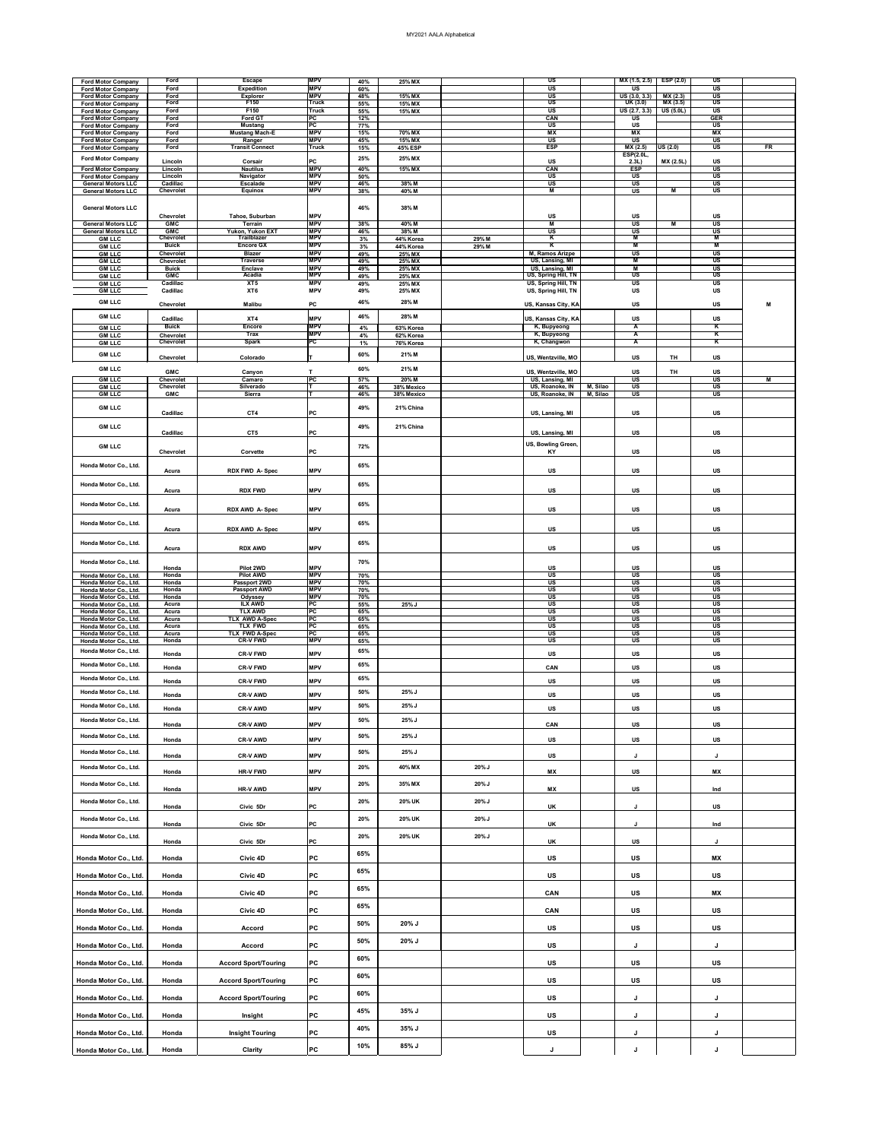|                                                        | Ford                             | <b>Escape</b>                           | <b>IMPV</b>              |            |                     |          | $\overline{\mathsf{US}}$                                      |          | MX (1.5, 2.5)                                         | ESP(2.0)         | US                                                     |    |
|--------------------------------------------------------|----------------------------------|-----------------------------------------|--------------------------|------------|---------------------|----------|---------------------------------------------------------------|----------|-------------------------------------------------------|------------------|--------------------------------------------------------|----|
| <b>Ford Motor Company</b><br><b>Ford Motor Company</b> | Ford                             | <b>Expedition</b>                       | <b>MPV</b>               | 40%<br>60% | 25% MX              |          | $\overline{\mathsf{US}}$                                      |          | <b>US</b>                                             |                  | $\overline{\mathsf{US}}$                               |    |
| <b>Ford Motor Company</b>                              | Ford                             | <b>Explorer</b>                         | <b>MPV</b>               | 48%        | 15% MX              |          | $\overline{\mathsf{u}\mathsf{s}}$                             |          | US (3.0, 3.3)                                         | MX (2.3)         | $\overline{\mathsf{US}}$                               |    |
| <b>Ford Motor Company</b>                              | Ford                             | F150                                    | <b>Truck</b>             | 55%        | 15% MX              |          | $\overline{\mathsf{US}}$                                      |          | UK(3.0)                                               | MX(3.5)          | $\overline{\mathsf{u}}$ s                              |    |
| <b>Ford Motor Company</b>                              | Ford                             | F150                                    | <b>Truck</b>             | 55%        | 15% MX              |          | $\overline{\mathsf{US}}$                                      |          | US (2.7, 3.3)                                         | US(5.0L)         | $\overline{\mathsf{US}}$                               |    |
| <b>Ford Motor Company</b>                              | Ford                             | <b>Ford GT</b>                          | $\overline{PC}$          | 12%        |                     |          | CAN                                                           |          | <b>US</b>                                             |                  | <b>GER</b>                                             |    |
| <b>Ford Motor Company</b>                              | Ford<br>Ford                     | <b>Mustang</b><br><b>Mustang Mach-E</b> | <b>PC</b><br><b>MPV</b>  | 77%<br>15% | 70% MX              |          | $\overline{\mathsf{US}}$<br>MX                                |          | <b>US</b><br>MX                                       |                  | $\overline{\mathsf{US}}$<br>MX                         |    |
| <b>Ford Motor Company</b><br><b>Ford Motor Company</b> | Ford                             | Ranger                                  | <b>MPV</b>               | 45%        | 15% $M\overline{X}$ |          | $\overline{\mathsf{US}}$                                      |          | $\overline{\mathsf{US}}$                              |                  | $\overline{\mathsf{US}}$                               |    |
| <b>Ford Motor Company</b>                              | Ford                             | <b>Transit Connect</b>                  | <b>Truck</b>             | 15%        | <b>45% ESP</b>      |          | <b>ESP</b>                                                    |          | MX(2.5)                                               | US(2.0)          | $\overline{\mathsf{US}}$                               | FR |
| <b>Ford Motor Company</b>                              |                                  |                                         |                          | 25%        | 25% MX              |          |                                                               |          | <b>ESP(2.0L,</b>                                      |                  |                                                        |    |
|                                                        | Lincoln                          | Corsair                                 | PC                       |            |                     |          | <b>US</b>                                                     |          | 2.3L)                                                 | <b>MX (2.5L)</b> | <b>US</b>                                              |    |
| <b>Ford Motor Company</b>                              | Lincoln                          | <b>Nautilus</b>                         | <b>MPV</b><br><b>MPV</b> | 40%        | 15% MX              |          | CAN                                                           |          | <b>ESP</b>                                            |                  | $\overline{\mathsf{u}}$ s<br>$\overline{\mathsf{u}}$ s |    |
| <b>Ford Motor Company</b><br><b>General Motors LLC</b> | Lincoln<br>Cadillac              | Navigator<br><b>Escalade</b>            | <b>MPV</b>               | 50%<br>46% | 38% M               |          | $\overline{\mathsf{US}}$<br>$\overline{\mathsf{US}}$          |          | $\overline{\mathsf{US}}$<br>$\overline{\mathsf{u}}$ s |                  | $\overline{\mathsf{u}}$ s                              |    |
| <b>General Motors LLC</b>                              | <b>Chevrolet</b>                 | <b>Equinox</b>                          | <b>MPV</b>               | 38%        | 40% M               |          | M                                                             |          | <b>US</b>                                             | M                | $\overline{\mathsf{u}\mathsf{s}}$                      |    |
|                                                        |                                  |                                         |                          |            |                     |          |                                                               |          |                                                       |                  |                                                        |    |
| <b>General Motors LLC</b>                              |                                  |                                         |                          | 46%        | 38% M               |          |                                                               |          |                                                       |                  |                                                        |    |
|                                                        | <b>Chevrolet</b>                 | Tahoe, Suburban                         | <b>MPV</b>               |            |                     |          | <b>US</b>                                                     |          | <b>US</b>                                             |                  | <b>US</b>                                              |    |
| <b>General Motors LLC</b>                              | <b>GMC</b>                       | <b>Terrain</b>                          | <b>MPV</b>               | 38%        | 40% M               |          | M                                                             |          | <b>US</b>                                             | М                | $\overline{\mathsf{US}}$                               |    |
| <b>General Motors LLC</b>                              | <b>GMC</b>                       | Yukon, Yukon EXT                        | <b>MPV</b>               | 46%        | 38% M               |          | $\overline{\mathsf{US}}$                                      |          | $\overline{\mathsf{US}}$                              |                  | $\overline{\mathsf{US}}$                               |    |
| <b>GM LLC</b>                                          | <b>Chevrolet</b><br><b>Buick</b> | <b>Trailblazer</b><br><b>Encore GX</b>  | <b>MPV</b><br><b>MPV</b> | 3%         | 44% Korea           | 29% M    | K<br>$\overline{\mathsf{K}}$                                  |          | M<br>M                                                |                  | M<br>M                                                 |    |
| <b>GM LLC</b><br><b>GM LLC</b>                         | Chevrolet                        | <b>Blazer</b>                           | <b>MPV</b>               | 3%<br>49%  | 44% Korea<br>25% MX | 29% M    | M, Ramos Arizpe                                               |          | $\overline{\mathsf{US}}$                              |                  | $\overline{\mathsf{u}}$ s                              |    |
| <b>GM LLC</b>                                          | Chevrolet                        | <b>Traverse</b>                         | <b>MPV</b>               | 49%        | 25% MX              |          | US, Lansing, MI                                               |          | $\overline{\mathsf{M}}$                               |                  | $\overline{\mathtt{us}}$                               |    |
| <b>GM LLC</b>                                          | <b>Buick</b>                     | <b>Enclave</b>                          | <b>MPV</b>               | 49%        | 25% MX              |          | US, Lansing, MI                                               |          | M                                                     |                  | $\overline{\mathsf{US}}$                               |    |
| <b>GM LLC</b>                                          | <b>GMC</b>                       | <b>Acadia</b>                           | <b>MPV</b>               | 49%        | 25% MX              |          | US, Spring Hill, TN                                           |          | <b>US</b>                                             |                  | $\overline{\mathsf{u}}$ s                              |    |
| <b>GM LLC</b>                                          | Cadillac                         | XT <sub>5</sub>                         | <b>MPV</b>               | 49%        | 25% MX              |          | US, Spring Hill, TN                                           |          | <b>US</b>                                             |                  | $\overline{\mathsf{US}}$                               |    |
| <b>GM LLC</b>                                          | Cadillac                         | XT <sub>6</sub>                         | <b>MPV</b>               | 49%        | 25% MX              |          | US, Spring Hill, TN                                           |          | <b>US</b>                                             |                  | <b>US</b>                                              |    |
| <b>GM LLC</b>                                          | <b>Chevrolet</b>                 | <b>Malibu</b>                           | <b>PC</b>                | 46%        | 28% M               |          | US, Kansas City, KA                                           |          | <b>US</b>                                             |                  | <b>US</b>                                              | M  |
|                                                        |                                  |                                         |                          |            |                     |          |                                                               |          |                                                       |                  |                                                        |    |
| <b>GM LLC</b>                                          | Cadillac                         | XT4                                     | <b>MPV</b>               | 46%        | 28% M               |          | US, Kansas City, KA                                           |          | US                                                    |                  | <b>US</b>                                              |    |
| <b>GM LLC</b>                                          | <b>Buick</b>                     | <b>Encore</b>                           | <b>IMPV</b>              | 4%         | 63% Korea           |          | K, Bupyeong                                                   |          | A                                                     |                  | K                                                      |    |
| <b>GM LLC</b>                                          | <b>Chevrolet</b>                 | <b>Trax</b>                             | <b>MPV</b>               | 4%         | 62% Korea           |          | K, Bupyeong                                                   |          | A                                                     |                  | K                                                      |    |
| <b>GM LLC</b>                                          | <b>Chevrolet</b>                 | <b>Spark</b>                            | PC                       | 1%         | 76% Korea           |          | K, Changwon                                                   |          | $\blacktriangle$                                      |                  | $\mathbf K$                                            |    |
| <b>GM LLC</b>                                          |                                  |                                         |                          | 60%        | 21% M               |          |                                                               |          |                                                       |                  |                                                        |    |
|                                                        | <b>Chevrolet</b>                 | Colorado                                |                          |            |                     |          | US, Wentzville, MO                                            |          | <b>US</b>                                             | <b>TH</b>        | <b>US</b>                                              |    |
| <b>GM LLC</b>                                          | <b>GMC</b>                       | Canyon                                  |                          | 60%        | 21% M               |          | US, Wentzville, MO                                            |          | <b>US</b>                                             | <b>TH</b>        | <b>US</b>                                              |    |
| <b>GM LLC</b>                                          | Chevrolet                        | Camaro                                  | PC                       | 57%        | 20% M               |          | US, Lansing, MI                                               |          | $\overline{\mathsf{US}}$                              |                  | $\overline{\mathsf{US}}$                               | M  |
| <b>GM LLC</b>                                          | <b>Chevrolet</b>                 | Silverado                               |                          | 46%        | 38% Mexico          |          | US, Roanoke, IN                                               | M, Silao | $\overline{\mathsf{US}}$                              |                  | $\overline{\mathsf{US}}$                               |    |
| <b>GM LLC</b>                                          | <b>GMC</b>                       | Sierra                                  |                          | 46%        | 38% Mexico          |          | US, Roanoke, IN                                               | M, Silao | $\overline{\mathsf{u}}$ s                             |                  | $\overline{\mathsf{US}}$                               |    |
|                                                        |                                  |                                         |                          |            |                     |          |                                                               |          |                                                       |                  |                                                        |    |
| <b>GM LLC</b>                                          | Cadillac                         | CT4                                     | PC                       | 49%        | 21% China           |          | US, Lansing, MI                                               |          | <b>US</b>                                             |                  | <b>US</b>                                              |    |
|                                                        |                                  |                                         |                          |            |                     |          |                                                               |          |                                                       |                  |                                                        |    |
| <b>GM LLC</b>                                          |                                  |                                         |                          | 49%        | 21% China           |          |                                                               |          |                                                       |                  |                                                        |    |
|                                                        | Cadillac                         | CT5                                     | PC                       |            |                     |          | US, Lansing, MI                                               |          | <b>US</b>                                             |                  | <b>US</b>                                              |    |
| <b>GM LLC</b>                                          |                                  |                                         |                          | 72%        |                     |          | US, Bowling Green,                                            |          |                                                       |                  |                                                        |    |
|                                                        | <b>Chevrolet</b>                 | Corvette                                | PC                       |            |                     |          | <b>KY</b>                                                     |          | <b>US</b>                                             |                  | <b>US</b>                                              |    |
| Honda Motor Co., Ltd.                                  |                                  |                                         |                          | 65%        |                     |          |                                                               |          |                                                       |                  |                                                        |    |
|                                                        | Acura                            | <b>RDX FWD A-Spec</b>                   | <b>MPV</b>               |            |                     |          | <b>US</b>                                                     |          | <b>US</b>                                             |                  | <b>US</b>                                              |    |
|                                                        |                                  |                                         |                          |            |                     |          |                                                               |          |                                                       |                  |                                                        |    |
| Honda Motor Co., Ltd.                                  | <b>Acura</b>                     | <b>RDX FWD</b>                          | <b>MPV</b>               | 65%        |                     |          | <b>US</b>                                                     |          | <b>US</b>                                             |                  | <b>US</b>                                              |    |
|                                                        |                                  |                                         |                          |            |                     |          |                                                               |          |                                                       |                  |                                                        |    |
| Honda Motor Co., Ltd.                                  |                                  |                                         |                          | 65%        |                     |          |                                                               |          |                                                       |                  |                                                        |    |
|                                                        | Acura                            | <b>RDX AWD A-Spec</b>                   | <b>MPV</b>               |            |                     |          | <b>US</b>                                                     |          | <b>US</b>                                             |                  | <b>US</b>                                              |    |
| Honda Motor Co., Ltd.                                  |                                  |                                         |                          | 65%        |                     |          |                                                               |          |                                                       |                  |                                                        |    |
|                                                        | Acura                            | <b>RDX AWD A-Spec</b>                   | <b>MPV</b>               |            |                     |          | <b>US</b>                                                     |          | <b>US</b>                                             |                  | <b>US</b>                                              |    |
|                                                        |                                  |                                         |                          |            |                     |          |                                                               |          |                                                       |                  |                                                        |    |
| Honda Motor Co., Ltd.                                  | Acura                            | <b>RDX AWD</b>                          | <b>MPV</b>               | 65%        |                     |          | <b>US</b>                                                     |          | <b>US</b>                                             |                  | <b>US</b>                                              |    |
|                                                        |                                  |                                         |                          |            |                     |          |                                                               |          |                                                       |                  |                                                        |    |
| Honda Motor Co., Ltd.                                  |                                  |                                         | <b>MPV</b>               | 70%        |                     |          |                                                               |          |                                                       |                  |                                                        |    |
| Honda Motor Co., Ltd.                                  | Honda<br>Honda                   | Pilot 2WD<br><b>Pilot AWD</b>           | <b>MPV</b>               | 70%        |                     |          | <b>US</b><br>$\overline{\mathsf{US}}$                         |          | <b>US</b><br>$\overline{\mathsf{US}}$                 |                  | <b>US</b><br>$\overline{\mathsf{u}}$ s                 |    |
| Honda Motor Co., Ltd.                                  | Honda                            | Passport 2WD                            | <b>MPV</b>               | 70%        |                     |          | $\overline{\mathsf{US}}$                                      |          | US                                                    |                  | $\overline{\mathsf{US}}$                               |    |
| Honda Motor Co., Ltd.                                  | Honda                            | <b>Passport AWD</b>                     | <b>MPV</b>               | 70%        |                     |          | $\overline{\mathsf{US}}$                                      |          | $\overline{\mathsf{US}}$                              |                  | $\overline{\mathsf{u}}$ s                              |    |
| Honda Motor Co., Ltd.                                  | Honda                            | <b>Odyssey</b>                          | <b>MPV</b>               | 70%        |                     |          | $\overline{\mathsf{u}\mathsf{s}}$                             |          | $\overline{\mathsf{US}}$                              |                  | $\overline{\mathsf{u}}$ s                              |    |
| Honda Motor Co., Ltd.                                  | Acura                            | <b>ILX AWD</b>                          | PC                       | 55%        | 25%J                |          | $\overline{\mathsf{u}\mathsf{s}}$                             |          | $\overline{\mathsf{US}}$                              |                  | $\overline{\mathsf{u}}$ s                              |    |
| Honda Motor Co., Ltd.<br>Honda Motor Co., Ltd.         | Acura<br>Acura                   | <b>TLX AWD</b><br><b>TLX AWD A-Spec</b> | PC<br> PC                | 65%<br>65% |                     |          | $\overline{\mathsf{US}}$<br>$\overline{\mathsf{u}\mathsf{s}}$ |          | $\overline{\mathsf{US}}$<br>$\overline{\mathsf{US}}$  |                  | $\overline{\mathsf{US}}$<br>$\overline{\mathsf{US}}$   |    |
| Honda Motor Co., Ltd.                                  | Acura                            | <b>TLX FWD</b>                          | PC                       | 65%        |                     |          | $\overline{\mathsf{u}\mathsf{s}}$                             |          | $\overline{\mathsf{US}}$                              |                  | $\overline{\mathsf{u}}$ s                              |    |
| Honda Motor Co., Ltd.                                  | Acura                            | <b>TLX FWD A-Spec</b>                   | PC                       | 65%        |                     |          | $\overline{\mathsf{u}\mathsf{s}}$                             |          | $\overline{\mathsf{US}}$                              |                  | $\overline{\mathsf{US}}$                               |    |
| Honda Motor Co., Ltd.                                  | Honda                            | <b>CR-V FWD</b>                         | <b>MPV</b>               | 65%        |                     |          | $\overline{\mathsf{u}\mathsf{s}}$                             |          | $\overline{\mathsf{US}}$                              |                  | $\overline{\mathsf{u}}$ s                              |    |
| Honda Motor Co., Ltd.                                  |                                  |                                         | <b>MPV</b>               | 65%        |                     |          |                                                               |          |                                                       |                  |                                                        |    |
|                                                        | Honda                            | <b>CR-V FWD</b>                         |                          |            |                     |          | <b>US</b>                                                     |          | <b>US</b>                                             |                  | <b>US</b>                                              |    |
| Honda Motor Co., Ltd.                                  | Honda                            | <b>CR-V FWD</b>                         | <b>MPV</b>               | 65%        |                     |          | <b>CAN</b>                                                    |          | <b>US</b>                                             |                  | <b>US</b>                                              |    |
| Honda Motor Co., Ltd.                                  |                                  |                                         |                          | 65%        |                     |          |                                                               |          |                                                       |                  |                                                        |    |
|                                                        | Honda                            | <b>CR-V FWD</b>                         | <b>MPV</b>               |            |                     |          | <b>US</b>                                                     |          | <b>US</b>                                             |                  | <b>US</b>                                              |    |
| Honda Motor Co., Ltd.                                  | Honda                            | <b>CR-V AWD</b>                         | <b>MPV</b>               | 50%        | 25% J               |          | <b>US</b>                                                     |          | <b>US</b>                                             |                  | <b>US</b>                                              |    |
| Honda Motor Co., Ltd.                                  |                                  |                                         |                          | 50%        | $25\%$ J            |          |                                                               |          |                                                       |                  |                                                        |    |
|                                                        | Honda                            | <b>CR-V AWD</b>                         | <b>MPV</b>               |            |                     |          | <b>US</b>                                                     |          | <b>US</b>                                             |                  | <b>US</b>                                              |    |
| Honda Motor Co., Ltd.                                  |                                  |                                         |                          | 50%        | $25\%$ J            |          |                                                               |          |                                                       |                  |                                                        |    |
|                                                        | Honda                            | <b>CR-V AWD</b>                         | <b>MPV</b>               |            |                     |          | CAN                                                           |          | <b>US</b>                                             |                  | <b>US</b>                                              |    |
| Honda Motor Co., Ltd.                                  | Honda                            | <b>CR-V AWD</b>                         | <b>MPV</b>               | 50%        | $25\%$ J            |          | <b>US</b>                                                     |          | <b>US</b>                                             |                  | <b>US</b>                                              |    |
|                                                        |                                  |                                         |                          |            |                     |          |                                                               |          |                                                       |                  |                                                        |    |
| Honda Motor Co., Ltd.                                  | Honda                            | <b>CR-V AWD</b>                         | <b>MPV</b>               | 50%        | 25% J               |          | <b>US</b>                                                     |          | J                                                     |                  | J                                                      |    |
| Honda Motor Co., Ltd.                                  |                                  |                                         |                          | 20%        | 40% MX              | $20\%$ J |                                                               |          |                                                       |                  |                                                        |    |
|                                                        | Honda                            | <b>HR-V FWD</b>                         | <b>MPV</b>               |            |                     |          | <b>MX</b>                                                     |          | <b>US</b>                                             |                  | <b>MX</b>                                              |    |
| Honda Motor Co., Ltd.                                  |                                  |                                         |                          | 20%        | 35% MX              | $20\%$ J |                                                               |          |                                                       |                  |                                                        |    |
|                                                        | Honda                            | <b>HR-V AWD</b>                         | <b>MPV</b>               |            |                     |          | <b>MX</b>                                                     |          | <b>US</b>                                             |                  | Ind                                                    |    |
| Honda Motor Co., Ltd.                                  |                                  |                                         |                          | 20%        | <b>20% UK</b>       | $20\%$ J |                                                               |          |                                                       |                  |                                                        |    |
|                                                        | Honda                            | Civic 5Dr                               | PC                       |            |                     |          | <b>UK</b>                                                     |          |                                                       |                  | <b>US</b>                                              |    |
| Honda Motor Co., Ltd.                                  |                                  |                                         |                          | 20%        | 20% UK              | $20\%$ J |                                                               |          |                                                       |                  |                                                        |    |
|                                                        | Honda                            | Civic 5Dr                               | PC                       |            |                     |          | <b>UK</b>                                                     |          | J                                                     |                  | Ind                                                    |    |
| Honda Motor Co., Ltd.                                  |                                  |                                         |                          | 20%        | <b>20% UK</b>       | $20\%$ J |                                                               |          |                                                       |                  |                                                        |    |
|                                                        | Honda                            | Civic 5Dr                               | <b>PC</b>                |            |                     |          | <b>UK</b>                                                     |          | <b>US</b>                                             |                  |                                                        |    |
|                                                        |                                  |                                         |                          | 65%        |                     |          |                                                               |          |                                                       |                  |                                                        |    |
| Honda Motor Co., Ltd.                                  | Honda                            | Civic 4D                                | PC                       |            |                     |          | <b>US</b>                                                     |          | <b>US</b>                                             |                  | <b>MX</b>                                              |    |
|                                                        |                                  |                                         |                          | 65%        |                     |          |                                                               |          |                                                       |                  |                                                        |    |
| Honda Motor Co., Ltd.                                  | Honda                            | Civic 4D                                | PC                       |            |                     |          | <b>US</b>                                                     |          | <b>US</b>                                             |                  | US                                                     |    |
|                                                        |                                  |                                         |                          |            |                     |          |                                                               |          |                                                       |                  |                                                        |    |
| Honda Motor Co., Ltd.                                  | Honda                            | Civic 4D                                | PC                       | 65%        |                     |          | <b>CAN</b>                                                    |          | <b>US</b>                                             |                  | <b>MX</b>                                              |    |
|                                                        |                                  |                                         |                          |            |                     |          |                                                               |          |                                                       |                  |                                                        |    |
| Honda Motor Co., Ltd.                                  | Honda                            | Civic 4D                                | PC                       | 65%        |                     |          | CAN                                                           |          | <b>US</b>                                             |                  | <b>US</b>                                              |    |
|                                                        |                                  |                                         |                          |            |                     |          |                                                               |          |                                                       |                  |                                                        |    |
| Honda Motor Co., Ltd.                                  | Honda                            | <b>Accord</b>                           | PC                       | 50%        | 20% J               |          | <b>US</b>                                                     |          | <b>US</b>                                             |                  | <b>US</b>                                              |    |
|                                                        |                                  |                                         |                          |            |                     |          |                                                               |          |                                                       |                  |                                                        |    |
| Honda Motor Co., Ltd.                                  | Honda                            | <b>Accord</b>                           | PC                       | 50%        | 20% J               |          | US                                                            |          | J                                                     |                  | J                                                      |    |
|                                                        |                                  |                                         |                          | 60%        |                     |          |                                                               |          |                                                       |                  |                                                        |    |
| Honda Motor Co., Ltd.                                  | Honda                            | <b>Accord Sport/Touring</b>             | PC                       |            |                     |          | <b>US</b>                                                     |          | <b>US</b>                                             |                  | <b>US</b>                                              |    |
|                                                        |                                  |                                         |                          |            |                     |          |                                                               |          |                                                       |                  |                                                        |    |
| Honda Motor Co., Ltd.                                  | Honda                            | <b>Accord Sport/Touring</b>             | PC                       | 60%        |                     |          | <b>US</b>                                                     |          | <b>US</b>                                             |                  | <b>US</b>                                              |    |
|                                                        |                                  |                                         |                          |            |                     |          |                                                               |          |                                                       |                  |                                                        |    |
| Honda Motor Co., Ltd.                                  | Honda                            | <b>Accord Sport/Touring</b>             | PC                       | 60%        |                     |          | US                                                            |          | J                                                     |                  | J                                                      |    |
|                                                        |                                  |                                         |                          |            |                     |          |                                                               |          |                                                       |                  |                                                        |    |
| Honda Motor Co., Ltd.                                  | Honda                            | Insight                                 | PC                       | 45%        | $35\%$ J            |          | US                                                            |          | J                                                     |                  | J                                                      |    |
|                                                        |                                  |                                         |                          |            |                     |          |                                                               |          |                                                       |                  |                                                        |    |
| Honda Motor Co., Ltd.                                  | Honda                            | <b>Insight Touring</b>                  | PC                       | 40%        | 35% J               |          | <b>US</b>                                                     |          |                                                       |                  |                                                        |    |

| 85%<br>10%<br>Honda<br>Honda Motor Co., Ltd.<br>^ח'<br>Clarity<br>. |
|---------------------------------------------------------------------|
|---------------------------------------------------------------------|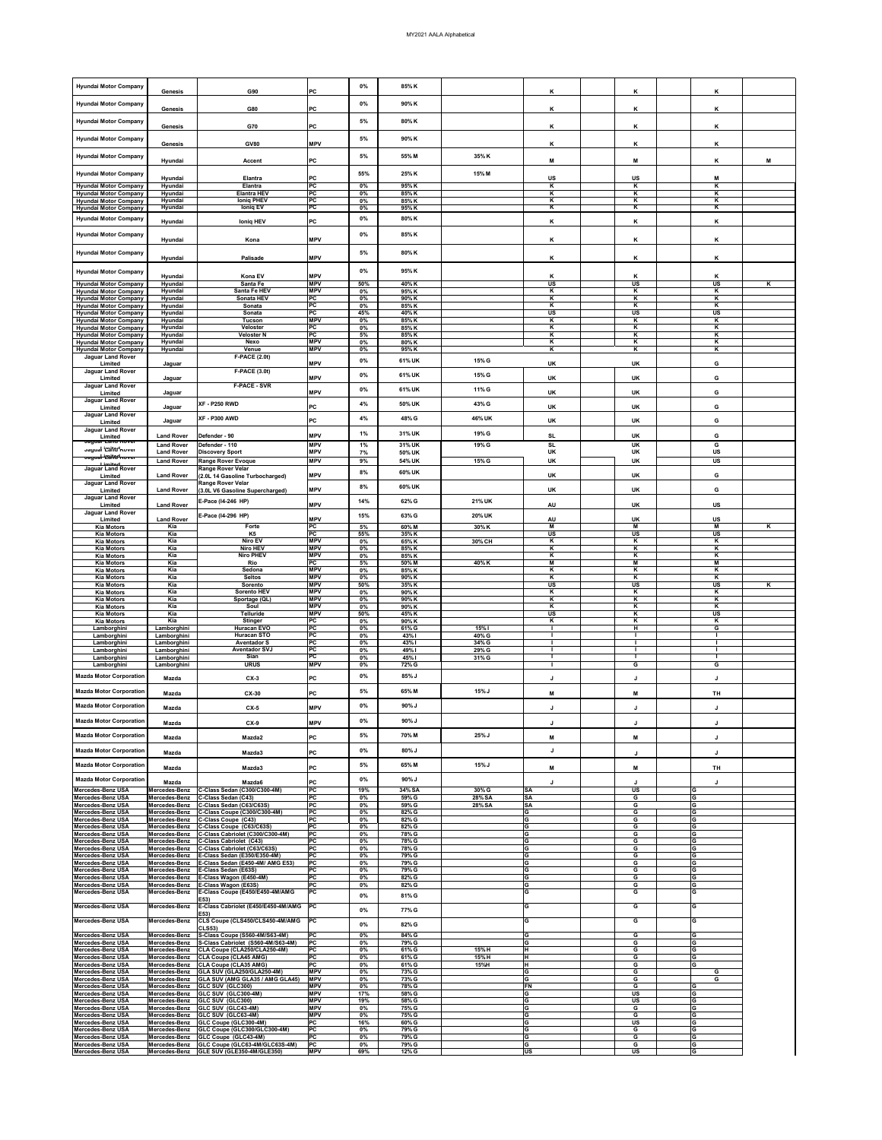| <b>Hyundai Motor Company</b>                                                                 | <b>Genesis</b>                                  | G90                                                                                 | <b>IPC</b>                             | $0\%$                   | 85% K                   |                 | K                                                       | K                                                       | K                                                       |   |
|----------------------------------------------------------------------------------------------|-------------------------------------------------|-------------------------------------------------------------------------------------|----------------------------------------|-------------------------|-------------------------|-----------------|---------------------------------------------------------|---------------------------------------------------------|---------------------------------------------------------|---|
| <b>Hyundai Motor Company</b>                                                                 | <b>Genesis</b>                                  | <b>G80</b>                                                                          | PC                                     | $0\%$                   | 90% K                   |                 | K                                                       | K                                                       | K                                                       |   |
| <b>Hyundai Motor Company</b>                                                                 | <b>Genesis</b>                                  | <b>G70</b>                                                                          | <b>IPC</b>                             | 5%                      | 80% K                   |                 | K                                                       | K                                                       | K                                                       |   |
| <b>Hyundai Motor Company</b>                                                                 |                                                 |                                                                                     |                                        | 5%                      | 90% K                   |                 |                                                         |                                                         |                                                         |   |
| <b>Hyundai Motor Company</b>                                                                 | <b>Genesis</b>                                  | <b>GV80</b>                                                                         | <b>MPV</b>                             | 5%                      | 55% M                   | 35% K           | K                                                       | K                                                       | K                                                       |   |
|                                                                                              | Hyundai                                         | <b>Accent</b>                                                                       | <b>PC</b>                              |                         |                         |                 | M                                                       | M                                                       | K                                                       | M |
| <b>Hyundai Motor Company</b><br><b>Hyundai Motor Company</b>                                 | Hyundai<br>Hyundai                              | <b>Elantra</b><br><b>Elantra</b>                                                    | <b>PC</b><br>PC                        | 55%<br>$0\%$            | 25% K<br>95%K           | 15% M           | <b>US</b><br>$\overline{\mathbf{K}}$                    | <b>US</b><br>K                                          | M<br>$\overline{\mathsf{K}}$                            |   |
| <b>Hyundai Motor Company</b><br><b>Hyundai Motor Company</b>                                 | Hyundai<br>Hyundai                              | <b>Elantra HEV</b><br><b>Ioniq PHEV</b>                                             | PC<br>PC                               | $0\%$<br>$0\%$          | 85% K<br>85% K          |                 | K<br>K                                                  | K<br>$\overline{\mathbf{K}}$                            | Κ<br>K                                                  |   |
| <b>Hyundai Motor Company</b>                                                                 | Hyundai                                         | <b>loniq EV</b>                                                                     | PC                                     | $0\%$                   | 95% K                   |                 | $\overline{\mathbf{K}}$                                 | $\overline{\mathsf{K}}$                                 | $\overline{\mathsf{K}}$                                 |   |
| <b>Hyundai Motor Company</b>                                                                 | Hyundai                                         | <b>Ioniq HEV</b>                                                                    | <b>PC</b>                              | $0\%$                   | 80% K                   |                 | K                                                       | K                                                       | Κ                                                       |   |
| <b>Hyundai Motor Company</b>                                                                 | Hyundai                                         | Kona                                                                                | <b>MPV</b>                             | $0\%$                   | 85% K                   |                 | K                                                       | K                                                       | K                                                       |   |
| <b>Hyundai Motor Company</b>                                                                 | Hyundai                                         | <b>Palisade</b>                                                                     | <b>MPV</b>                             | 5%                      | 80% K                   |                 | K                                                       | K                                                       | K                                                       |   |
| <b>Hyundai Motor Company</b>                                                                 | Hyundai                                         | Kona EV                                                                             | <b>MPV</b>                             | 0%                      | 95% K                   |                 | K                                                       | K                                                       | K                                                       |   |
| <b>Hyundai Motor Company</b><br><b>Hyundai Motor Company</b>                                 | Hyundai<br>Hyundai                              | Santa Fe<br>Santa Fe HEV                                                            | <b>MPV</b><br><b>MPV</b>               | 50%<br>$0\%$            | 40% K<br>95% K          |                 | <b>US</b><br>$\overline{\mathbf{K}}$                    | US<br>$\overline{\mathsf{K}}$                           | <b>US</b><br>K                                          | Κ |
| <b>Hyundai Motor Company</b><br><b>Hyundai Motor Company</b>                                 | Hyundai<br>Hyundai                              | <b>Sonata HEV</b><br>Sonata                                                         | <b>IPC</b><br> PC                      | $0\%$<br>$0\%$          | 90% K<br>85% K          |                 | K<br>K                                                  | K<br>$\overline{\mathbf{K}}$                            | K<br>K                                                  |   |
| <b>Hyundai Motor Company</b><br><b>Hyundai Motor Company</b>                                 | Hyundai<br>Hyundai                              | Sonata<br><b>Tucson</b>                                                             | PC <br><b>MPV</b>                      | 45%<br>$0\%$            | 40% K<br>85% K          |                 | <b>US</b><br>K                                          | <b>US</b><br>K                                          | <b>US</b><br>K                                          |   |
| <b>Hyundai Motor Company</b><br><b>Hyundai Motor Company</b><br><b>Hyundai Motor Company</b> | Hyundai<br>Hyundai<br>Hyundai                   | Veloster<br><b>Veloster N</b><br><b>Nexo</b>                                        | PC <br> PC <br><b>MPV</b>              | $0\%$<br>5%<br>$0\%$    | 85% K<br>85% K<br>80% K |                 | K<br>K<br>K                                             | K<br>K<br>K                                             | Κ<br>K<br>K                                             |   |
| <b>Hyundai Motor Company</b><br><b>Jaguar Land Rover</b>                                     | Hyundai                                         | Venue<br>$F-PACE(2.0t)$                                                             | <b>MPV</b>                             | $0\%$                   | 95%K                    |                 | K                                                       | $\overline{\mathbf{K}}$                                 | $\overline{\mathbf{K}}$                                 |   |
| <b>Limited</b><br><b>Jaguar Land Rover</b>                                                   | Jaguar                                          | <b>F-PACE (3.0t)</b>                                                                | <b>MPV</b>                             | $0\%$                   | 61% UK                  | 15% G           | <b>UK</b>                                               | <b>UK</b>                                               | G                                                       |   |
| <b>Limited</b><br>Jaguar Land Rover                                                          | Jaguar                                          | <b>F-PACE - SVR</b>                                                                 | <b>MPV</b>                             | $0\%$                   | 61% UK                  | 15% G           | <b>UK</b>                                               | <b>UK</b>                                               | G                                                       |   |
| Limited<br><b>Jaguar Land Rover</b>                                                          | Jaguar                                          |                                                                                     | <b>MPV</b>                             | $0\%$                   | 61% UK                  | 11% G           | <b>UK</b>                                               | <b>UK</b>                                               | G                                                       |   |
| <b>Limited</b><br><b>Jaguar Land Rover</b>                                                   | Jaguar                                          | <b>XF - P250 RWD</b><br><b>XF - P300 AWD</b>                                        | <b>IPC</b>                             | 4%                      | 50% UK<br>48% G         | 43% G<br>46% UK | <b>UK</b>                                               | <b>UK</b>                                               | G                                                       |   |
| <b>Limited</b><br><b>Jaguar Land Rover</b>                                                   | Jaguar                                          |                                                                                     | <b>PC</b>                              | 4%<br>$1\%$             | 31% UK                  | 19% G           | <b>UK</b>                                               | <b>UK</b>                                               | G                                                       |   |
| Limited<br>Jayuar Lanu Rover                                                                 | <b>Land Rover</b><br><b>Land Rover</b>          | Defender - 90<br>Defender - 110                                                     | <b>MPV</b><br><b>MPV</b>               | 1%                      | 31% UK                  | 19% G           | <b>SL</b><br><b>SL</b>                                  | <b>UK</b><br><b>UK</b>                                  | G<br>G                                                  |   |
| Jaguar catta Rover<br><del>Jagual 'Lahu'kover</del>                                          | <b>Land Rover</b><br><b>Land Rover</b>          | <b>Discovery Sport</b><br><b>Range Rover Evoque</b>                                 | <b>MPV</b><br><b>MPV</b>               | 7%<br>9%                | 50% UK<br>54% UK        | 15% G           | <b>UK</b><br>UK                                         | <b>UK</b><br><b>UK</b>                                  | <b>US</b><br><b>US</b>                                  |   |
| <b>Jaguar Land Rover</b><br>Limited                                                          | <b>Land Rover</b>                               | <b>Range Rover Velar</b><br>(2.0L 14 Gasoline Turbocharged)                         | <b>MPV</b>                             | 8%                      | 60% UK                  |                 | <b>UK</b>                                               | <b>UK</b>                                               | G                                                       |   |
| <b>Jaguar Land Rover</b><br>Limited                                                          | <b>Land Rover</b>                               | <b>Range Rover Velar</b><br>(3.0L V6 Gasoline Supercharged)                         | <b>MPV</b>                             | 8%                      | 60% UK                  |                 | <b>UK</b>                                               | <b>UK</b>                                               | G                                                       |   |
| <b>Jaguar Land Rover</b><br><b>Limited</b>                                                   | <b>Land Rover</b>                               | E-Pace (I4-246 HP)                                                                  | <b>MPV</b>                             | 14%                     | 62% G                   | <b>21% UK</b>   | <b>AU</b>                                               | <b>UK</b>                                               | <b>US</b>                                               |   |
| <b>Jaguar Land Rover</b><br>Limited                                                          | <b>Land Rover</b>                               | E-Pace (14-296 HP)                                                                  | <b>MPV</b>                             | 15%                     | 63% G                   | <b>20% UK</b>   | <b>AU</b>                                               | UK                                                      | US                                                      |   |
| <b>Kia Motors</b><br><b>Kia Motors</b>                                                       | Kia<br>Kia                                      | <b>Forte</b><br><b>K5</b>                                                           | PC<br>PC                               | 5%<br>55%               | 60% M<br>35% K          | 30% K           | $\overline{M}$<br>$\overline{\mathsf{US}}$              | M<br>$\overline{\mathsf{US}}$                           | M<br>$\overline{\mathsf{US}}$                           | K |
| <b>Kia Motors</b><br><b>Kia Motors</b><br><b>Kia Motors</b>                                  | Kia<br>Kia<br>Kia                               | Niro EV<br><b>Niro HEV</b><br><b>Niro PHEV</b>                                      | <b>MPV</b><br><b>MPV</b><br><b>MPV</b> | $0\%$<br>$0\%$<br>$0\%$ | 65% K<br>85% K<br>85% K | 30% CH          | K<br>$\overline{\mathbf{K}}$<br>$\overline{\mathbf{K}}$ | K<br>$\overline{\mathbf{K}}$<br>$\overline{\mathbf{K}}$ | K<br>$\overline{\mathbf{K}}$<br>$\overline{\mathbf{K}}$ |   |
| <b>Kia Motors</b><br><b>Kia Motors</b>                                                       | Kia<br>Kia                                      | Rio<br>Sedona                                                                       | PC<br><b>MPV</b>                       | 5%<br>$0\%$             | 50% M<br>85%K           | 40% K           | M<br>$\overline{\mathsf{K}}$                            | $\overline{\mathsf{M}}$<br>$\overline{\mathsf{K}}$      | M<br>$\overline{\mathsf{K}}$                            |   |
| <b>Kia Motors</b><br><b>Kia Motors</b>                                                       | Kia<br>Kia                                      | <b>Seltos</b><br>Sorento                                                            | <b>MPV</b><br><b>MPV</b>               | $0\%$<br>50%            | 90% K<br>35% K          |                 | K<br>$\overline{\mathsf{US}}$                           | $\overline{\mathbf{K}}$<br>$\overline{\mathsf{US}}$     | K<br><b>US</b>                                          | K |
| <b>Kia Motors</b><br><b>Kia Motors</b>                                                       | Kia<br>Kia                                      | <b>Sorento HEV</b><br>Sportage (QL)                                                 | <b>MPV</b><br><b>MPV</b>               | $0\%$<br>0%             | 90% K<br>90% K          |                 | $\overline{\mathsf{K}}$                                 | $\overline{\mathbf{K}}$                                 | $\overline{\mathsf{K}}$                                 |   |
| <b>Kia Motors</b><br><b>Kia Motors</b>                                                       | Kia<br>Kia                                      | Soul<br><b>Telluride</b>                                                            | <b>MPV</b><br><b>MPV</b>               | $0\%$<br>50%            | 90% K<br>45% K          |                 | K<br><b>US</b>                                          | K<br>K                                                  | Κ<br><b>US</b>                                          |   |
| <b>Kia Motors</b><br>Lamborghini                                                             | Kia<br>Lamborghini                              | <b>Stinger</b><br><b>Huracan EVO</b>                                                | PC<br> PC                              | $0\%$<br>$0\%$          | 90% K<br>61% G          | 15% l           |                                                         | $\overline{\mathsf{K}}$<br>H                            | $\overline{\mathsf{K}}$<br>G                            |   |
| Lamborghini<br>Lamborghini                                                                   | Lamborghini<br>Lamborghini                      | <b>Huracan STO</b><br><b>Aventador S</b>                                            | PC<br>PC                               | $0\%$<br>$0\%$          | 43%  <br>43%            | 40% G<br>34% G  |                                                         |                                                         |                                                         |   |
| Lamborghini<br>Lamborghini                                                                   | Lamborghini<br>Lamborghini                      | <b>Aventador SVJ</b><br><b>Sian</b>                                                 | PC<br><b>PC</b>                        | $0\%$<br>$0\%$          | 49% l<br>45% l          | 29% G<br>31% G  |                                                         |                                                         |                                                         |   |
| Lamborghini<br><b>Mazda Motor Corporation</b>                                                | Lamborghini                                     | <b>URUS</b>                                                                         | <b>MPV</b>                             | $0\%$<br>$0\%$          | 72% G<br>85% J          |                 |                                                         | G                                                       | G                                                       |   |
| <b>Mazda Motor Corporation</b>                                                               | Mazda                                           | $CX-3$                                                                              | <b>PC</b>                              | 5%                      | 65% M                   | 15% J           |                                                         |                                                         |                                                         |   |
| <b>Mazda Motor Corporation</b>                                                               | <b>Mazda</b><br>Mazda                           | $CX-30$<br>$CX-5$                                                                   | <b>IPC</b><br><b>MPV</b>               | $0\%$                   | $90\%$ J                |                 | M                                                       | M                                                       | <b>TH</b>                                               |   |
| <b>Mazda Motor Corporation</b>                                                               | <b>Mazda</b>                                    | $CX-9$                                                                              | <b>MPV</b>                             | $0\%$                   | 90% J                   |                 |                                                         |                                                         |                                                         |   |
| <b>Mazda Motor Corporation</b>                                                               | Mazda                                           | Mazda2                                                                              | <b>IPC</b>                             | 5%                      | 70% M                   | 25% J           | M                                                       | M                                                       |                                                         |   |
| <b>Mazda Motor Corporation</b>                                                               | Mazda                                           | Mazda3                                                                              | <b>PC</b>                              | 0%                      | $80\%$ J                |                 |                                                         |                                                         |                                                         |   |
| <b>Mazda Motor Corporation</b>                                                               | Mazda                                           | Mazda3                                                                              | <b>IPC</b>                             | 5%                      | 65% M                   | $15%$ J         | M                                                       | M                                                       | <b>TH</b>                                               |   |
| <b>Mazda Motor Corporation</b>                                                               | <b>Mazda</b>                                    | Mazda6                                                                              | <b>IPC</b>                             | $0\%$                   | 90% J                   |                 |                                                         |                                                         |                                                         |   |
| <b>Mercedes-Benz USA</b><br><b>Mercedes-Benz USA</b>                                         | Mercedes-Benz<br>Mercedes-Benz                  | C-Class Sedan (C300/C300-4M)<br>C-Class Sedan (C43)                                 | PC<br>PC                               | 19%<br>0%               | 34% SA<br>59% G         | 30% G<br>28% SA | <b>SA</b><br><b>SA</b>                                  | <b>US</b><br>G                                          | G<br>G                                                  |   |
| <b>Mercedes-Benz USA</b><br><b>Mercedes-Benz USA</b>                                         | Mercedes-Benz<br>Mercedes-Benz                  | C-Class Sedan (C63/C63S)<br>C-Class Coupe (C300/C300-4M)                            | PC<br>PC                               | $0\%$<br>$0\%$          | 59% G<br>82% G          | 28% SA          | <b>SA</b>                                               | $\overline{G}$<br>G                                     | G<br>G                                                  |   |
| <b>Mercedes-Benz USA</b><br><b>Mercedes-Benz USA</b>                                         | Mercedes-Benz<br>Mercedes-Benz                  | C-Class Coupe (C43)<br>C-Class Coupe (C63/C63S)                                     | <b>PC</b><br> PC                       | $0\%$<br>$0\%$          | 82% G<br>82% G          |                 | G<br>G                                                  | G<br>G                                                  | G<br><b>G</b>                                           |   |
| <b>Mercedes-Benz USA</b><br>Mercedes-Benz USA                                                | Mercedes-Benz<br>Mercedes-Benz                  | C-Class Cabriolet (C300/C300-4M)<br>C-Class Cabriolet (C43)                         | PC<br> PC                              | $0\%$<br>$0\%$          | 78% G<br>78% G          |                 | G<br>G                                                  | G<br>G                                                  | <b>G</b><br>G                                           |   |
| Mercedes-Benz USA<br>Mercedes-Benz USA                                                       | Mercedes-Benz                                   | C-Class Cabriolet (C63/C63S)<br>Mercedes-Benz   E-Class Sedan (E350/E350-4M)        | PC <br>PC                              | $0\%$<br>$0\%$          | 78% G<br>79% G          |                 |                                                         | G<br>G                                                  | G<br>Ω۱                                                 |   |
| <b>Mercedes-Benz USA</b><br><b>Mercedes-Benz USA</b>                                         | Mercedes-Benz                                   | Mercedes-Benz   E-Class Sedan (E450-4M/ AMG E53)<br>E-Class Sedan (E63S)            | PC <br> PC <br> PC                     | $0\%$<br>$0\%$          | 79% G<br>79% G          |                 | G                                                       | G<br>G                                                  | <b>G</b><br>lG<br><b>G</b>                              |   |
| <b>Mercedes-Benz USA</b><br><b>Mercedes-Benz USA</b><br><b>Mercedes-Benz USA</b>             | Mercedes-Benz<br>Mercedes-Benz<br>Mercedes-Benz | E-Class Wagon (E450-4M)<br>E-Class Wagon (E63S)<br>E-Class Coupe (E450/E450-4M/AMG) | PC <br><b>PC</b>                       | $0\%$<br>$0\%$          | 82% G<br>82% G          |                 | G<br>G                                                  | G<br>G<br>G                                             | G<br>lG                                                 |   |
| <b>Mercedes-Benz USA</b>                                                                     | Mercedes-Benz                                   | E53)<br>E-Class Cabriolet (E450/E450-4M/AMG   PC                                    |                                        | $0\%$                   | 81% G                   |                 | G                                                       | G                                                       | lG                                                      |   |
| Mercedes-Benz USA                                                                            | Mercedes-Benz                                   | E53)<br>CLS Coupe (CLS450/CLS450-4M/AMG  PC                                         |                                        | $0\%$                   | 77% G                   |                 | lG.                                                     | G                                                       | ΙG                                                      |   |
| Mercedes-Benz USA                                                                            | Mercedes-Benz                                   | <b>CLS53)</b><br>S-Class Coupe (S560-4M/S63-4M)                                     | PC                                     | $0\%$<br>$0\%$          | 82% G<br>84% G          |                 | G                                                       | G                                                       | G                                                       |   |
| <b>Mercedes-Benz USA</b><br><b>Mercedes-Benz USA</b>                                         | Mercedes-Benz<br>Mercedes-Benz                  | S-Class Cabriolet (S560-4M/S63-4M)<br>CLA Coupe (CLA250/CLA250-4M)                  | PC<br>PC                               | $0\%$<br>$0\%$          | 79% G<br>61% G          | 15%H            | G<br>н                                                  | G<br>G                                                  | <b>G</b><br><b>G</b>                                    |   |
| <b>Mercedes-Benz USA</b><br><b>Mercedes-Benz USA</b>                                         | Mercedes-Benz<br>Mercedes-Benz                  | <b>CLA Coupe (CLA45 AMG)</b><br>CLA Coupe (CLA35 AMG)                               | PC <br><b>PC</b>                       | 0%<br>0%                | 61% G<br>61% G          | 15%H<br>15%H    | н                                                       | G<br>G                                                  | <b>G</b><br>G                                           |   |
| <b>Mercedes-Benz USA</b><br><b>Mercedes-Benz USA</b>                                         | Mercedes-Benz<br>Mercedes-Benz                  | <b>GLA SUV (GLA250/GLA250-4M)</b><br><b>GLA SUV (AMG GLA35 / AMG GLA45)</b>         | <b>MPV</b><br><b>MPV</b>               | 0%<br>$0\%$             | 73% G<br>73% G          |                 | G<br>G                                                  | G<br>G                                                  | G<br>G                                                  |   |
| <b>Mercedes-Benz USA</b><br><b>Mercedes-Benz USA</b>                                         | Mercedes-Benz<br>Mercedes-Benz                  | <b>GLC SUV (GLC300)</b><br>GLC SUV (GLC300-4M)                                      | <b>MPV</b><br><b>MPV</b>               | $0\%$<br>17%            | 78% G<br>58% G          |                 | <b>FN</b>                                               | G<br><b>US</b>                                          | ΙG                                                      |   |
| <b>Mercedes-Benz USA</b><br><b>Mercedes-Benz USA</b>                                         | Mercedes-Benz<br>Mercedes-Benz                  | <b>GLC SUV (GLC300)</b><br><b>GLC SUV (GLC43-4M)</b>                                | <b>MPV</b><br><b>MPV</b><br><b>MPV</b> | 19%<br>0%               | 58% G<br>75% G          |                 | G                                                       | US<br>G<br>G                                            | G<br>G                                                  |   |
| <b>Mercedes-Benz USA</b><br><b>Mercedes-Benz USA</b><br><b>Mercedes-Benz USA</b>             | Mercedes-Benz<br>Mercedes-Benz<br>Mercedes-Benz | <b>GLC SUV (GLC63-4M)</b><br>GLC Coupe (GLC300-4M)<br>GLC Coupe (GLC300/GLC300-4M)  | PC <br> PC                             | $0\%$<br>16%<br>$0\%$   | 75% G<br>60% G<br>79% G |                 | G<br>G                                                  | <b>US</b><br>G                                          | ΙG<br>ΙG                                                |   |
| <b>Mercedes-Benz USA</b><br><b>Mercedes-Benz USA</b>                                         | Mercedes-Benz<br>Mercedes-Benz                  | GLC Coupe (GLC43-4M)<br>GLC Coupe (GLC63-4M/GLC63S-4M)                              | PC <br> PC                             | 0%<br>0%                | 79% G<br>79% G          |                 | G                                                       | G<br>G                                                  | G<br>G                                                  |   |
| <b>Mercedes-Benz USA</b>                                                                     | Mercedes-Benz                                   | GLE SUV (GLE350-4M/GLE350)                                                          | <b>MPV</b>                             | 69%                     | 12% G                   |                 | <b>US</b>                                               | <b>US</b>                                               | G                                                       |   |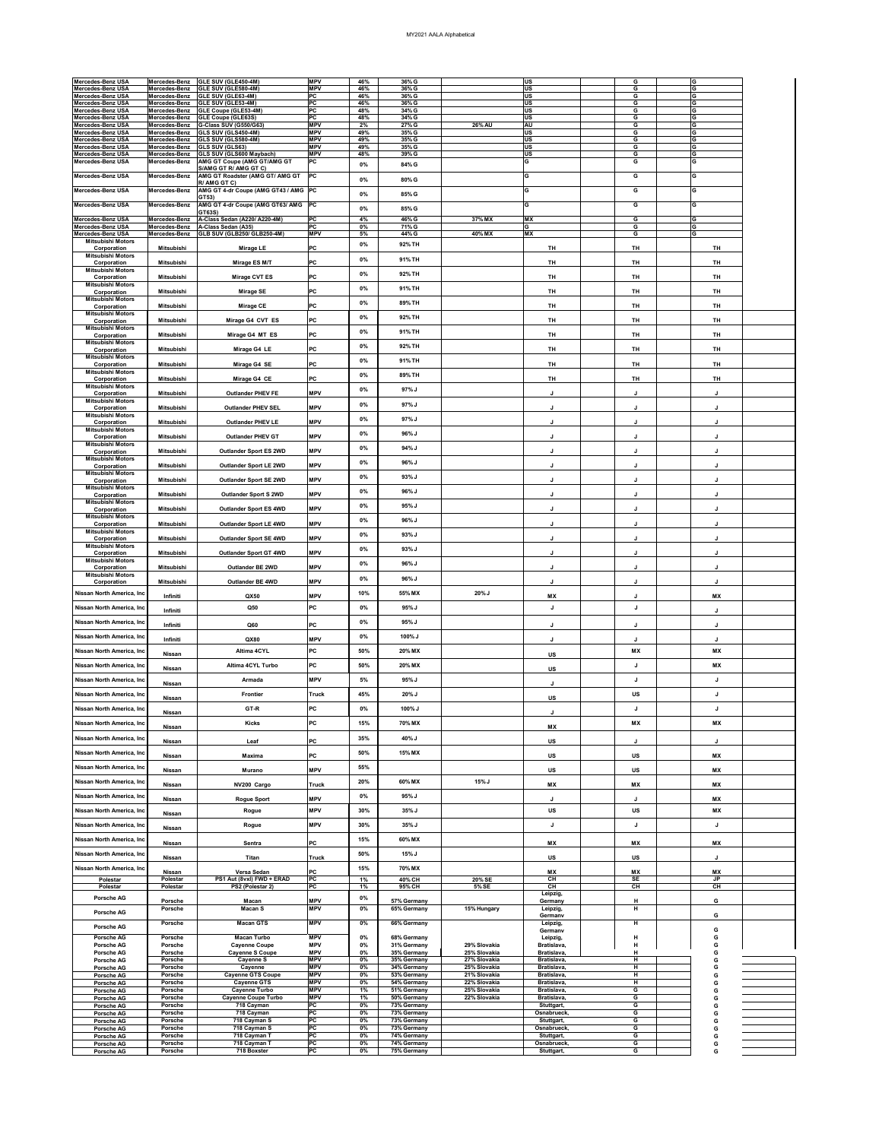| <b>Mercedes-Benz USA</b>                      | Mercedes-Benz                    | GLE SUV (GLE450-4M)                                                   | <b>MPV</b>               | 46%            | 36% G                      |                              | <b>US</b>                  | G                 | G                           |  |
|-----------------------------------------------|----------------------------------|-----------------------------------------------------------------------|--------------------------|----------------|----------------------------|------------------------------|----------------------------|-------------------|-----------------------------|--|
| <b>Mercedes-Benz USA</b>                      | Mercedes-Benz                    | GLE SUV (GLE580-4M)                                                   | <b>MPV</b>               | 46%            | 36% G                      |                              | <b>US</b>                  | G                 | G                           |  |
| <b>Mercedes-Benz USA</b><br>Mercedes-Benz USA | Mercedes-Benz<br>Mercedes-Benz   | <b>GLE SUV (GLE63-4M)</b><br>GLE SUV (GLE53-4M)                       | <b>PC</b><br><b>PC</b>   | 46%<br>46%     | 36% G<br>36% G             |                              | <b>US</b><br><b>US</b>     | G<br>G            | G<br>G                      |  |
| <b>Mercedes-Benz USA</b>                      | Mercedes-Benz                    | <b>GLE Coupe (GLE53-4M)</b>                                           | PC                       | 48%            | 34% G                      |                              | <b>US</b>                  | $\overline{G}$    | G                           |  |
| <b>Mercedes-Benz USA</b><br>Mercedes-Benz USA | Mercedes-Benz<br>Mercedes-Benz   | <b>GLE Coupe (GLE63S)</b><br>G-Class SUV (G550/G63)                   | <b>PC</b><br><b>MPV</b>  | 48%<br>2%      | 34% G<br>27% G             | <b>26% AU</b>                | <b>US</b><br><b>AU</b>     | G<br>G            | G<br>G                      |  |
| <b>Mercedes-Benz USA</b>                      | Mercedes-Benz                    | GLS SUV (GLS450-4M)                                                   | <b>MPV</b><br><b>MPV</b> | 49%<br>49%     | $35\%$ G<br>35% G          |                              | <b>US</b>                  | G<br>G            | G<br>G                      |  |
| Mercedes-Benz USA<br>Mercedes-Benz USA        | Mercedes-Benz<br>Mercedes-Benz   | GLS SUV (GLS580-4M)<br><b>GLS SUV (GLS63)</b>                         | <b>MPV</b>               | 49%            | 35% G                      |                              | <b>US</b><br><b>US</b>     | $\overline{G}$    | $\overline{\mathbf{G}}$     |  |
| <b>Mercedes-Benz USA</b><br>Mercedes-Benz USA | Mercedes-Benz<br>Mercedes-Benz   | <b>GLS SUV (GLS600 Maybach)</b><br><b>AMG GT Coupe (AMG GT/AMG GT</b> | <b>MPV</b><br> PC        | 48%            | 39% G                      |                              | <b>US</b><br>G             | G<br>G            | G<br>G                      |  |
|                                               |                                  | S/AMG GT R/ AMG GT C)                                                 |                          | 0%             | 84% G                      |                              |                            |                   |                             |  |
| Mercedes-Benz USA                             | Mercedes-Benz                    | AMG GT Roadster (AMG GT/ AMG GT<br>R/ AMG GT C)                       | PC                       | $0\%$          | 80% G                      |                              | lG.                        | G                 | G                           |  |
| Mercedes-Benz USA                             | Mercedes-Benz                    | AMG GT 4-dr Coupe (AMG GT43 / AMG PC<br>GT53)                         |                          | $0\%$          | 85% G                      |                              | lG.                        | G                 | G                           |  |
| Mercedes-Benz USA                             | Mercedes-Benz                    | AMG GT 4-dr Coupe (AMG GT63/ AMG PC                                   |                          | $0\%$          | 85% G                      |                              | G                          | G                 | G                           |  |
| Mercedes-Benz USA                             | Mercedes-Benz                    | <b>GT63S)</b><br>A-Class Sedan (A220/ A220-4M)                        | PC                       | 4%             | 46% G                      | 37% MX                       | <b>MX</b>                  | G                 | G                           |  |
| Mercedes-Benz USA<br>Mercedes-Benz USA        | Mercedes-Benz<br>Mercedes-Benz   | A-Class Sedan (A35)<br><b>GLB SUV (GLB250/ GLB250-4M)</b>             | PC<br><b>MPV</b>         | $0\%$<br>5%    | 71% G<br>44% G             | 40% MX                       | lG.<br><b>MX</b>           | G<br>G            | G<br>G                      |  |
| <b>Mitsubishi Motors</b>                      |                                  |                                                                       |                          | $0\%$          | 92% TH                     |                              |                            |                   |                             |  |
| Corporation<br><b>Mitsubishi Motors</b>       | <b>Mitsubishi</b>                | <b>Mirage LE</b>                                                      | PC                       |                |                            |                              | <b>TH</b>                  | <b>TH</b>         | <b>TH</b>                   |  |
| Corporation<br><b>Mitsubishi Motors</b>       | <b>Mitsubishi</b>                | Mirage ES M/T                                                         | <b>PC</b>                | $0\%$          | 91% TH                     |                              | <b>TH</b>                  | <b>TH</b>         | <b>TH</b>                   |  |
| Corporation                                   | <b>Mitsubishi</b>                | <b>Mirage CVT ES</b>                                                  | <b>PC</b>                | $0\%$          | 92% TH                     |                              | <b>TH</b>                  | <b>TH</b>         | <b>TH</b>                   |  |
| <b>Mitsubishi Motors</b><br>Corporation       | <b>Mitsubishi</b>                | <b>Mirage SE</b>                                                      | PC                       | $0\%$          | 91% TH                     |                              | <b>TH</b>                  | <b>TH</b>         | <b>TH</b>                   |  |
| <b>Mitsubishi Motors</b>                      | <b>Mitsubishi</b>                | <b>Mirage CE</b>                                                      | <b>PC</b>                | $0\%$          | 89% TH                     |                              | <b>TH</b>                  | <b>TH</b>         | <b>TH</b>                   |  |
| Corporation<br><b>Mitsubishi Motors</b>       |                                  |                                                                       |                          | $0\%$          | 92% TH                     |                              |                            |                   |                             |  |
| Corporation<br><b>Mitsubishi Motors</b>       | <b>Mitsubishi</b>                | Mirage G4 CVT ES                                                      | <b>PC</b>                |                |                            |                              | <b>TH</b>                  | <b>TH</b>         | TH                          |  |
| Corporation                                   | <b>Mitsubishi</b>                | Mirage G4 MT ES                                                       | <b>PC</b>                | $0\%$          | 91% TH                     |                              | <b>TH</b>                  | <b>TH</b>         | TH                          |  |
| <b>Mitsubishi Motors</b><br>Corporation       | <b>Mitsubishi</b>                | Mirage G4 LE                                                          | <b>PC</b>                | $0\%$          | 92% TH                     |                              | <b>TH</b>                  | <b>TH</b>         | <b>TH</b>                   |  |
| <b>Mitsubishi Motors</b><br>Corporation       | <b>Mitsubishi</b>                | Mirage G4 SE                                                          | <b>PC</b>                | $0\%$          | 91% TH                     |                              | <b>TH</b>                  | <b>TH</b>         | TH                          |  |
| <b>Mitsubishi Motors</b>                      |                                  |                                                                       |                          | $0\%$          | 89% TH                     |                              |                            |                   |                             |  |
| Corporation<br><b>Mitsubishi Motors</b>       | Mitsubishi                       | Mirage G4 CE                                                          | <b>PC</b>                | $0\%$          | $97\%$ J                   |                              | <b>TH</b>                  | <b>TH</b>         | <b>TH</b>                   |  |
| Corporation<br><b>Mitsubishi Motors</b>       | <b>Mitsubishi</b>                | <b>Outlander PHEV FE</b>                                              | <b>MPV</b>               |                |                            |                              |                            | J                 | J                           |  |
| Corporation                                   | <b>Mitsubishi</b>                | <b>Outlander PHEV SEL</b>                                             | <b>MPV</b>               | $0\%$          | 97% J                      |                              |                            |                   |                             |  |
| <b>Mitsubishi Motors</b><br>Corporation       | <b>Mitsubishi</b>                | <b>Outlander PHEV LE</b>                                              | <b>MPV</b>               | $0\%$          | 97% J                      |                              |                            |                   |                             |  |
| <b>Mitsubishi Motors</b><br>Corporation       | <b>Mitsubishi</b>                | <b>Outlander PHEV GT</b>                                              | <b>MPV</b>               | $0\%$          | 96% J                      |                              |                            |                   |                             |  |
| <b>Mitsubishi Motors</b>                      |                                  |                                                                       | <b>MPV</b>               | $0\%$          | 94% J                      |                              |                            |                   |                             |  |
| Corporation<br><b>Mitsubishi Motors</b>       | <b>Mitsubishi</b>                | <b>Outlander Sport ES 2WD</b>                                         |                          | $0\%$          | 96% J                      |                              |                            |                   |                             |  |
| Corporation<br><b>Mitsubishi Motors</b>       | <b>Mitsubishi</b>                | <b>Outlander Sport LE 2WD</b>                                         | <b>MPV</b>               |                |                            |                              |                            |                   |                             |  |
| Corporation                                   | <b>Mitsubishi</b>                | <b>Outlander Sport SE 2WD</b>                                         | <b>MPV</b>               | $0\%$          | 93% J                      |                              |                            |                   |                             |  |
| <b>Mitsubishi Motors</b><br>Corporation       | <b>Mitsubishi</b>                | <b>Outlander Sport S 2WD</b>                                          | <b>MPV</b>               | $0\%$          | 96% J                      |                              |                            |                   |                             |  |
| <b>Mitsubishi Motors</b><br>Corporation       | <b>Mitsubishi</b>                | <b>Outlander Sport ES 4WD</b>                                         | <b>MPV</b>               | $0\%$          | 95% J                      |                              |                            |                   |                             |  |
| <b>Mitsubishi Motors</b>                      |                                  |                                                                       |                          | $0\%$          | 96% J                      |                              |                            |                   |                             |  |
| Corporation<br><b>Mitsubishi Motors</b>       | <b>Mitsubishi</b>                | <b>Outlander Sport LE 4WD</b>                                         | <b>MPV</b>               |                |                            |                              |                            | J                 |                             |  |
| Corporation<br><b>Mitsubishi Motors</b>       | <b>Mitsubishi</b>                | <b>Outlander Sport SE 4WD</b>                                         | <b>MPV</b>               | $0\%$          | 93% J                      |                              |                            |                   |                             |  |
| Corporation                                   | <b>Mitsubishi</b>                | <b>Outlander Sport GT 4WD</b>                                         | <b>MPV</b>               | $0\%$          | 93% J                      |                              |                            |                   |                             |  |
| <b>Mitsubishi Motors</b><br>Corporation       | <b>Mitsubishi</b>                | <b>Outlander BE 2WD</b>                                               | <b>MPV</b>               | $0\%$          | 96% J                      |                              |                            |                   |                             |  |
| <b>Mitsubishi Motors</b><br>Corporation       | <b>Mitsubishi</b>                | <b>Outlander BE 4WD</b>                                               | <b>MPV</b>               | $0\%$          | 96% J                      |                              |                            |                   |                             |  |
| Nissan North America, Inc                     |                                  |                                                                       |                          | 10%            | 55% MX                     | $20\%$ J                     |                            |                   |                             |  |
|                                               | Infiniti                         | <b>QX50</b>                                                           | <b>MPV</b>               |                |                            |                              | <b>MX</b>                  | J                 | <b>MX</b>                   |  |
| Nissan North America, Inc                     | Infiniti                         | Q50                                                                   | PC                       | $0\%$          | $95\%$ J                   |                              | J                          | J                 | J                           |  |
| Nissan North America, Inc                     | Infiniti                         | Q60                                                                   | <b>PC</b>                | $0\%$          | 95% J                      |                              |                            |                   | J                           |  |
| Nissan North America, Inc                     | Infiniti                         | <b>QX80</b>                                                           | <b>MPV</b>               | $0\%$          | 100% J                     |                              |                            |                   |                             |  |
| Nissan North America, Inc                     |                                  | Altima 4CYL                                                           | <b>PC</b>                | 50%            | 20% MX                     |                              | <b>US</b>                  | <b>MX</b>         | <b>MX</b>                   |  |
| Nissan North America, Inc                     | <b>Nissan</b>                    | Altima 4CYL Turbo                                                     | <b>IPC</b>               | 50%            | 20% MX                     |                              |                            | J                 | <b>MX</b>                   |  |
|                                               | <b>Nissan</b>                    |                                                                       |                          |                |                            |                              | <b>US</b>                  |                   |                             |  |
| Nissan North America, Inc                     | <b>Nissan</b>                    | <b>Armada</b>                                                         | <b>MPV</b>               | 5%             | $95\%$ J                   |                              |                            | J                 | J                           |  |
| Nissan North America, Inc                     | <b>Nissan</b>                    | <b>Frontier</b>                                                       | <b>Truck</b>             | 45%            | $20\%$ J                   |                              | <b>US</b>                  | US                | J                           |  |
| Nissan North America, Inc                     | <b>Nissan</b>                    | GT-R                                                                  | <b>PC</b>                | $0\%$          | 100% J                     |                              |                            | J                 | J                           |  |
| Nissan North America, Inc                     |                                  | <b>Kicks</b>                                                          | <b>PC</b>                | 15%            | 70% MX                     |                              |                            | <b>MX</b>         | <b>MX</b>                   |  |
| Nissan North America, Inc                     | <b>Nissan</b>                    |                                                                       |                          | 35%            | 40% J                      |                              | <b>MX</b>                  |                   |                             |  |
|                                               | <b>Nissan</b>                    | Leaf                                                                  | <b>PC</b>                |                |                            |                              | <b>US</b>                  | J                 | J                           |  |
| Nissan North America, Inc                     | <b>Nissan</b>                    | <b>Maxima</b>                                                         | <b>PC</b>                | 50%            | 15% MX                     |                              | US                         | <b>US</b>         | <b>MX</b>                   |  |
| Nissan North America, Inc                     | Nissan                           | Murano                                                                | <b>MPV</b>               | 55%            |                            |                              | <b>US</b>                  | <b>US</b>         | <b>MX</b>                   |  |
| Nissan North America, Inc                     | <b>Nissan</b>                    | NV200 Cargo                                                           | <b>Truck</b>             | 20%            | 60% MX                     | $15%$ J                      | <b>MX</b>                  | <b>MX</b>         | <b>MX</b>                   |  |
| Nissan North America, Inc                     | <b>Nissan</b>                    | <b>Rogue Sport</b>                                                    | <b>MPV</b>               | $0\%$          | 95% J                      |                              |                            |                   | <b>MX</b>                   |  |
| Nissan North America, Inc                     |                                  | Rogue                                                                 | <b>MPV</b>               | 30%            | $35\%$ J                   |                              | US                         | US                | МX                          |  |
|                                               | <b>Nissan</b>                    |                                                                       |                          |                |                            |                              |                            |                   |                             |  |
| Nissan North America, Inc                     | <b>Nissan</b>                    | Rogue                                                                 | <b>MPV</b>               | 30%            | $35\%$ J                   |                              | J                          | J                 | J                           |  |
| Nissan North America, Inc.                    | <b>Nissan</b>                    | <b>Sentra</b>                                                         | <b>PC</b>                | 15%            | 60% MX                     |                              | МX                         | ΜX                | <b>MX</b>                   |  |
| Nissan North America, Inc.                    | <b>Nissan</b>                    | <b>Titan</b>                                                          | <b>Truck</b>             | 50%            | $15%$ J                    |                              | <b>US</b>                  | <b>US</b>         |                             |  |
| Nissan North America, Inc.                    |                                  |                                                                       |                          | 15%            | 70% MX                     |                              |                            |                   |                             |  |
| <b>Polestar</b>                               | <b>Nissan</b><br>Polestar        | Versa Sedan<br>PS1 Aut (8vxl) FWD + ERAD                              | <b>IPC</b><br>PC         | 1%             | 40% CH                     | 20% SE                       | <b>MX</b><br>CH            | <b>MX</b><br>SE   | <b>MX</b><br>J <sub>P</sub> |  |
| <b>Polestar</b>                               | <b>Polestar</b>                  | PS2 (Polestar 2)                                                      | PC                       | 1%             | 95% CH                     | 5% SE                        | CH<br>Leipzig,             | CH                | <b>CH</b>                   |  |
| <b>Porsche AG</b>                             | <b>Porsche</b>                   | <b>Macan</b>                                                          | <b>MPV</b><br><b>MPV</b> | $0\%$<br>$0\%$ | 57% Germany                |                              | Germany                    | H<br>H            | G                           |  |
| <b>Porsche AG</b>                             | <b>Porsche</b>                   | <b>Macan S</b>                                                        |                          |                | 65% Germany                | 15% Hungary                  | Leipzig,<br>Germanv        |                   | G                           |  |
| <b>Porsche AG</b>                             | <b>Porsche</b>                   | <b>Macan GTS</b>                                                      | <b>MPV</b>               | $0\%$          | 66% Germany                |                              | Leipzig,<br>Germanv        | H                 |                             |  |
| <b>Porsche AG</b>                             | <b>Porsche</b>                   | <b>Macan Turbo</b>                                                    | <b>MPV</b>               | $0\%$          | 68% Germany                |                              | Leipzig,                   | H                 |                             |  |
| <b>Porsche AG</b><br><b>Porsche AG</b>        | <b>Porsche</b><br><b>Porsche</b> | <b>Cayenne Coupe</b><br><b>Cayenne S Coupe</b>                        | <b>MPV</b><br><b>MPV</b> | $0\%$<br>0%    | 31% Germany<br>35% Germany | 29% Slovakia<br>25% Slovakia | Bratislava,<br>Bratislava, | $\mathsf{H}$<br>H |                             |  |
| <b>Porsche AG</b><br><b>Porsche AG</b>        | <b>Porsche</b><br><b>Porsche</b> | <b>Cayenne S</b><br>Cayenne                                           | <b>MPV</b><br><b>MPV</b> | $0\%$<br>$0\%$ | 35% Germany<br>34% Germany | 27% Slovakia<br>25% Slovakia | Bratislava,<br>Bratislava, | H<br>H            |                             |  |
| <b>Porsche AG</b>                             | <b>Porsche</b>                   | <b>Cayenne GTS Coupe</b>                                              | <b>MPV</b>               | $0\%$          | 53% Germany                | 21% Slovakia                 | Bratislava,                | H                 |                             |  |
| <b>Porsche AG</b><br><b>Porsche AG</b>        | <b>Porsche</b><br><b>Porsche</b> | <b>Cayenne GTS</b><br><b>Cayenne Turbo</b>                            | <b>MPV</b><br><b>MPV</b> | $0\%$<br>1%    | 54% Germany<br>51% Germany | 22% Slovakia<br>25% Slovakia | Bratislava,<br>Bratislava, | H<br>G            |                             |  |
| <b>Porsche AG</b>                             | <b>Porsche</b>                   | <b>Cayenne Coupe Turbo</b>                                            | <b>MPV</b>               | 1%             | 50% Germany                | 22% Slovakia                 | Bratislava,                | G                 |                             |  |
| <b>Porsche AG</b><br><b>Porsche AG</b>        | <b>Porsche</b><br><b>Porsche</b> | 718 Cayman<br>718 Cayman                                              | PC <br>PC                | $0\%$<br>$0\%$ | 73% Germany<br>73% Germany |                              | Stuttgart,<br>Osnabrueck,  | G<br>G            |                             |  |
| <b>Porsche AG</b><br><b>Porsche AG</b>        | <b>Porsche</b><br><b>Porsche</b> | 718 Cayman S<br>718 Cayman S                                          | PC <br> PC               | $0\%$<br>$0\%$ | 73% Germany<br>73% Germany |                              | Stuttgart,<br>Osnabrueck,  | G<br>G            |                             |  |
| <b>Porsche AG</b>                             | <b>Porsche</b>                   | 718 Cayman T                                                          | PC                       | $0\%$          | 74% Germany                |                              | Stuttgart,                 | G                 |                             |  |
| <b>Porsche AG</b><br><b>Porsche AG</b>        | <b>Porsche</b><br><b>Porsche</b> | 718 Cayman T<br>718 Boxster                                           | PC <br>PC                | $0\%$<br>$0\%$ | 74% Germany<br>75% Germany |                              | Osnabrueck,<br>Stuttgart,  | G<br>G            | G                           |  |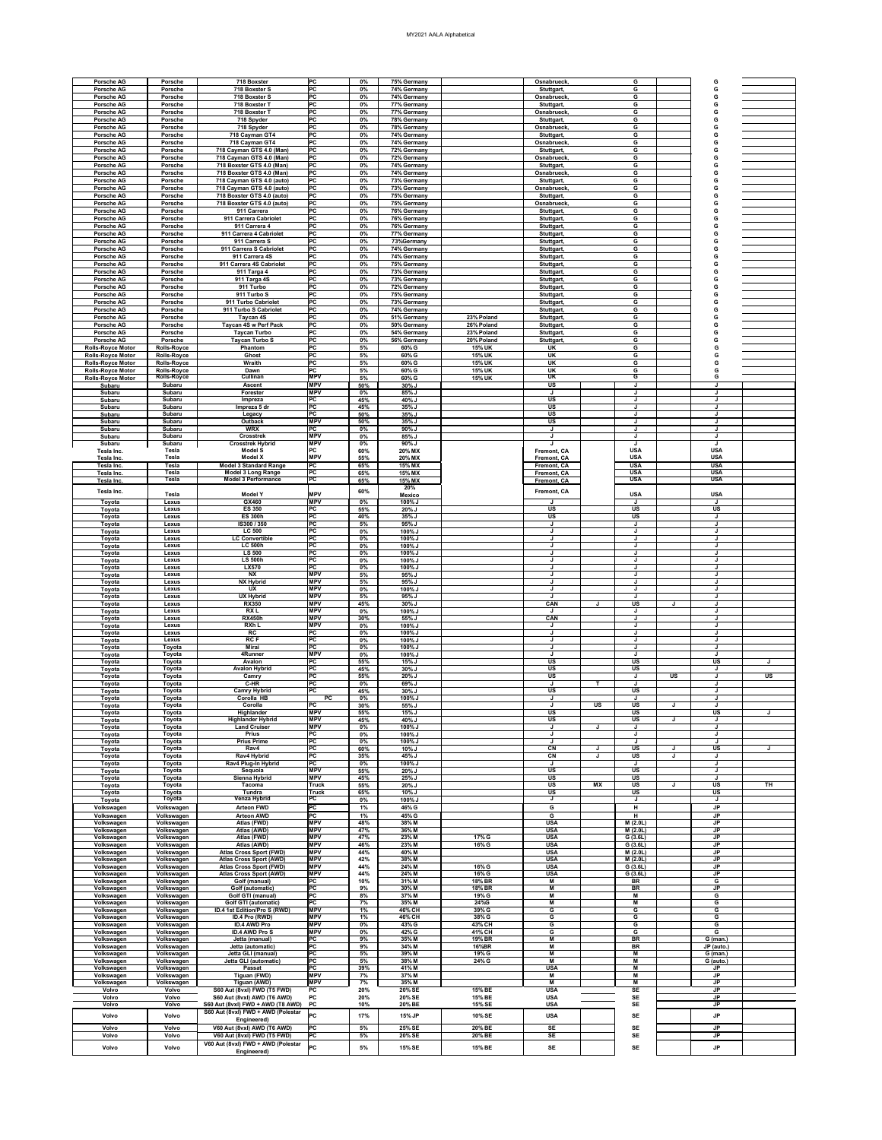## MY2021 AALA Alphabetical

| <b>Porsche AG</b>                                    | <b>Porsche</b>                           | 718 Boxster                                                       | PC                                 | $0\%$          | 75% Germany                |                                | Osnabrueck,                                          |           | G                                     |                          |           |
|------------------------------------------------------|------------------------------------------|-------------------------------------------------------------------|------------------------------------|----------------|----------------------------|--------------------------------|------------------------------------------------------|-----------|---------------------------------------|--------------------------|-----------|
| <b>Porsche AG</b><br><b>Porsche AG</b>               | <b>Porsche</b><br><b>Porsche</b>         | 718 Boxster S<br>718 Boxster S                                    | <b>PC</b><br><b>PC</b>             | $0\%$<br>$0\%$ | 74% Germany<br>74% Germany |                                | Stuttgart,<br>Osnabrueck,                            |           | G<br>G                                |                          |           |
| <b>Porsche AG</b>                                    | <b>Porsche</b>                           | 718 Boxster T                                                     | <b>PC</b>                          | $0\%$          | 77% Germany                |                                | Stuttgart,                                           |           | G                                     |                          |           |
| <b>Porsche AG</b>                                    | <b>Porsche</b>                           | 718 Boxster T                                                     | $\overline{PC}$                    | 0%             | 77% Germany                |                                | Osnabrueck,                                          |           | G                                     |                          |           |
| <b>Porsche AG</b><br><b>Porsche AG</b>               | <b>Porsche</b><br><b>Porsche</b>         | 718 Spyder<br>718 Spyder                                          | <b>PC</b><br><b>PC</b>             | $0\%$<br>$0\%$ | 78% Germany<br>78% Germany |                                | Stuttgart,<br>Osnabrueck,                            |           | G<br>G                                |                          |           |
| <b>Porsche AG</b>                                    | <b>Porsche</b>                           | 718 Cayman GT4                                                    | <b>PC</b>                          | $0\%$          | 74% Germany                |                                | Stuttgart,                                           |           | G                                     |                          |           |
| <b>Porsche AG</b><br><b>Porsche AG</b>               | <b>Porsche</b><br><b>Porsche</b>         | 718 Cayman GT4<br>718 Cayman GTS 4.0 (Man)                        | <b>PC</b><br>$\overline{PC}$       | 0%<br>0%       | 74% Germany<br>72% Germany |                                | <b>Osnabrueck</b><br>Stuttgart,                      |           | G<br>G                                |                          |           |
| <b>Porsche AG</b>                                    | <b>Porsche</b>                           | 718 Cayman GTS 4.0 (Man)                                          | $\overline{PC}$                    | 0%             | 72% Germany                |                                | Osnabrueck                                           |           | G                                     |                          |           |
| <b>Porsche AG</b><br><b>Porsche AG</b>               | <b>Porsche</b><br><b>Porsche</b>         | 718 Boxster GTS 4.0 (Man)<br>718 Boxster GTS 4.0 (Man)            | <b>PC</b><br><b>PC</b>             | $0\%$<br>$0\%$ | 74% Germany<br>74% Germany |                                | Stuttgart,<br>Osnabrueck,                            |           | G<br>G                                |                          |           |
| <b>Porsche AG</b>                                    | <b>Porsche</b>                           | 718 Cayman GTS 4.0 (auto)                                         | PC                                 | $0\%$          | 73% Germany                |                                | Stuttgart,                                           |           | G                                     |                          |           |
| <b>Porsche AG</b><br><b>Porsche AG</b>               | <b>Porsche</b><br><b>Porsche</b>         | 718 Cayman GTS 4.0 (auto)<br>718 Boxster GTS 4.0 (auto)           | $\overline{PC}$<br> PC             | 0%<br>0%       | 73% Germany<br>75% Germany |                                | Osnabrueck,<br>Stuttgart,                            |           | G<br>G                                |                          |           |
| <b>Porsche AG</b>                                    | <b>Porsche</b>                           | 718 Boxster GTS 4.0 (auto)                                        | <b>PC</b>                          | $0\%$          | 75% Germany                |                                | Osnabrueck.                                          |           | G                                     |                          |           |
| <b>Porsche AG</b><br><b>Porsche AG</b>               | <b>Porsche</b><br><b>Porsche</b>         | 911 Carrera<br>911 Carrera Cabriolet                              | <b>PC</b><br><b>PC</b>             | $0\%$<br>0%    | 76% Germany<br>76% Germany |                                | Stuttgart,<br>Stuttgart,                             |           | G<br>G                                |                          |           |
| <b>Porsche AG</b>                                    | <b>Porsche</b>                           | 911 Carrera 4                                                     | PC                                 | 0%             | 76% Germany                |                                | Stuttgart,                                           |           | G                                     |                          |           |
| <b>Porsche AG</b><br><b>Porsche AG</b>               | <b>Porsche</b><br><b>Porsche</b>         | 911 Carrera 4 Cabriolet<br>911 Carrera S                          | $\overline{PC}$<br><b>PC</b>       | 0%<br>$0\%$    | 77% Germany<br>73%Germany  |                                | Stuttgart,<br>Stuttgart,                             |           | G<br>G                                |                          |           |
| <b>Porsche AG</b>                                    | <b>Porsche</b>                           | 911 Carrera S Cabriolet                                           | <b>PC</b>                          | $0\%$          | 74% Germany                |                                | Stuttgart,                                           |           | G                                     |                          |           |
| <b>Porsche AG</b>                                    | <b>Porsche</b><br><b>Porsche</b>         | 911 Carrera 4S<br>911 Carrera 4S Cabriolet                        | <b>PC</b><br>$\overline{PC}$       | 0%<br>0%       | 74% Germany<br>75% Germany |                                | Stuttgart,<br>Stuttgart,                             |           | G<br>G                                |                          |           |
| <b>Porsche AG</b><br><b>Porsche AG</b>               | <b>Porsche</b>                           | 911 Targa 4                                                       | <b>PC</b>                          | 0%             | 73% Germany                |                                | Stuttgart,                                           |           | G                                     |                          |           |
| <b>Porsche AG</b><br><b>Porsche AG</b>               | <b>Porsche</b><br><b>Porsche</b>         | 911 Targa 4S<br>911 Turbo                                         | <b>PC</b><br><b>PC</b>             | $0\%$<br>$0\%$ | 73% Germany<br>72% Germany |                                | Stuttgart,<br>Stuttgart,                             |           | G<br>G                                |                          |           |
| <b>Porsche AG</b>                                    | <b>Porsche</b>                           | 911 Turbo S                                                       | <b>PC</b>                          | $0\%$          | 75% Germany                |                                | Stuttgart,                                           |           | G                                     |                          |           |
| <b>Porsche AG</b>                                    | <b>Porsche</b>                           | 911 Turbo Cabriolet                                               | $\overline{PC}$<br>$\overline{PC}$ | 0%             | 73% Germany                |                                | Stuttgart,                                           |           | G                                     |                          |           |
| <b>Porsche AG</b><br><b>Porsche AG</b>               | <b>Porsche</b><br><b>Porsche</b>         | 911 Turbo S Cabriolet<br>Taycan 4S                                | <b>PC</b>                          | 0%<br>$0\%$    | 74% Germany<br>51% Germany | 23% Poland                     | Stuttgart,<br>Stuttgart,                             |           | G<br>G                                |                          |           |
| <b>Porsche AG</b>                                    | <b>Porsche</b>                           | <b>Taycan 4S w Perf Pack</b>                                      | <b>PC</b><br>l DC.                 | $0\%$          | 50% Germany                | 26% Poland                     | Stuttgart,                                           |           | G                                     |                          |           |
| <b>Porsche AG</b><br><b>Porsche AG</b>               | <b>Porsche</b><br><b>Porsche</b>         | <b>Taycan Turbo</b><br><b>Taycan Turbo S</b>                      | ~<br>$\overline{PC}$               | $0\%$<br>0%    | 54% Germany<br>56% Germany | 23% Poland<br>20% Poland       | Stuttgart,<br>Stuttgart,                             |           | G<br>G                                |                          |           |
| <b>Rolls-Royce Motor</b>                             | <b>Rolls-Royce</b>                       | Phantom                                                           | $\overline{PC}$                    | $5%$           | 60% G                      | <b>15% UK</b>                  | <b>UK</b>                                            |           | G                                     |                          |           |
| <b>Rolls-Royce Motor</b><br><b>Rolls-Royce Motor</b> | <b>Rolls-Royce</b><br><b>Rolls-Royce</b> | <b>Ghost</b><br>Wraith                                            | <b>PC</b><br><b>PC</b>             | 5%<br>5%       | 60% G<br>60% G             | <b>15% UK</b><br><b>15% UK</b> | UK<br><b>UK</b>                                      |           | G<br>$\overline{G}$                   |                          |           |
| <b>Rolls-Royce Motor</b>                             | <b>Rolls-Royce</b>                       | Dawn                                                              | PC                                 | $5%$           | 60% G                      | <b>15% UK</b>                  | <b>UK</b>                                            |           | G                                     |                          |           |
| <b>Rolls-Royce Motor</b><br>Subaru                   | <b>Rolls-Royce</b><br>Subaru             | <b>Cullinan</b><br><b>Ascent</b>                                  | <b>MPV</b><br><b>MPV</b>           | $5%$<br>50%    | 60% G<br>30% J             | <b>15% UK</b>                  | <u>UK</u><br>$\overline{\mathsf{US}}$                |           | G<br>J                                |                          |           |
| Subaru                                               | <b>Subaru</b>                            | Forester                                                          | <b>MPV</b>                         | $0\%$          | 85% J                      |                                |                                                      |           | J                                     |                          |           |
| Subaru<br>Subaru                                     | <b>Subaru</b><br><b>Subaru</b>           | Impreza<br>Impreza 5 dr                                           | PC<br><b>PC</b>                    | 45%<br>45%     | 40% J<br>35% J             |                                | <b>US</b><br><b>US</b>                               |           | J<br>J                                |                          |           |
| Subaru<br><b>Subaru</b>                              | <b>Subaru</b><br><b>Subaru</b>           | Legacy<br><b>Outback</b>                                          | $\overline{PC}$<br><b>MPV</b>      | 50%<br>50%     | 35% J<br>35% J             |                                | $\overline{\mathsf{US}}$<br>$\overline{\mathsf{US}}$ |           | J<br>J                                |                          |           |
| Subaru                                               | Subaru                                   | <b>WRX</b>                                                        | PC                                 | 0%             | 90% J                      |                                |                                                      |           | J                                     |                          |           |
| Subaru<br><b>Subaru</b>                              | Subaru<br>Subaru                         | <b>Crosstrek</b><br><b>Crosstrek Hybrid</b>                       | <b>MPV</b><br><b>MPV</b>           | $0\%$<br>$0\%$ | 85% J<br>90% J             |                                |                                                      |           | J                                     |                          |           |
| Tesla Inc.                                           | Tesla<br><b>Tesla</b>                    | <b>Model S</b><br><b>Model X</b>                                  | PС<br><b>MPV</b>                   | 60%            | 20% MX                     |                                | Fremont, CA                                          |           | <b>USA</b><br><b>USA</b>              | <b>USA</b><br><b>USA</b> |           |
| Tesla Inc.<br>Tesla Inc.                             | Tesla                                    | <b>Model 3 Standard Range</b>                                     | PC                                 | 55%<br>65%     | 20% MX<br>15% MX           |                                | Fremont, CA<br>Fremont, CA                           |           | <b>USA</b>                            | <b>USA</b>               |           |
| Tesla Inc.                                           | <b>Tesla</b><br><b>Tesla</b>             | <b>Model 3 Long Range</b><br><b>Model 3 Performance</b>           | <b>PC</b><br>PC                    | 65%            | 15% MX                     |                                | Fremont, CA                                          |           | <b>USA</b><br><b>USA</b>              | <b>USA</b><br><b>USA</b> |           |
| Tesla Inc.                                           |                                          |                                                                   |                                    | 65%            | 15% MX<br>20%              |                                | Fremont, CA                                          |           |                                       |                          |           |
| Tesla Inc.                                           | Tesla                                    | <b>Model Y</b><br>GX460                                           | <b>MPV</b><br><b>MPV</b>           | 60%            | <b>Mexico</b>              |                                | <b>Fremont, CA</b>                                   |           | <b>USA</b>                            | <b>USA</b>               |           |
| Toyota<br>Toyota                                     | Lexus<br>Lexus                           | <b>ES 350</b>                                                     | $\overline{PC}$                    | $0\%$<br>55%   | 100% J<br>20% J            |                                | <b>US</b>                                            |           | <b>US</b>                             | <b>US</b>                |           |
| Toyota<br>Toyota                                     | Lexus<br>Lexus                           | <b>ES 300h</b><br>IS300 / 350                                     | $\overline{PC}$<br>$\overline{PC}$ | 40%<br>5%      | 35% J<br>95% J             |                                | $\overline{\mathsf{US}}$                             |           | $\overline{\mathsf{US}}$              |                          |           |
| Toyota                                               | Lexus                                    | <b>LC 500</b>                                                     | <b>PC</b>                          | $0\%$          | 100% J                     |                                |                                                      |           | J                                     |                          |           |
| Toyota<br>Toyota                                     | Lexus<br>Lexus                           | <b>LC Convertible</b><br><b>LC 500h</b>                           | $\overline{PC}$<br>PC              | $0\%$<br>$0\%$ | 100% J<br>100% J           |                                |                                                      |           | J                                     |                          |           |
| Toyota                                               | Lexus                                    | <b>LS 500</b>                                                     | $\overline{PC}$                    | $0\%$          | 100% J                     |                                |                                                      |           | J                                     |                          |           |
| Toyota<br>Toyota                                     | Lexus<br>Lexus                           | <b>LS 500h</b><br><b>LX570</b>                                    | $\overline{PC}$<br>$\overline{PC}$ | 0%<br>0%       | 100% J<br>100% J           |                                |                                                      |           | J                                     |                          |           |
| Toyota                                               | Lexus                                    | $\n  NX\n$                                                        | <b>MPV</b>                         | 5%             | 95% J                      |                                |                                                      |           |                                       |                          |           |
| Toyota<br>Toyota                                     | Lexus<br>Lexus                           | <b>NX Hybrid</b><br>$\overline{\mathsf{U}}$                       | <b>MPV</b><br><b>MPV</b>           | 5%<br>0%       | 95% J<br>100% J            |                                |                                                      |           |                                       |                          |           |
| Toyota<br>Toyota                                     | <b>Lexus</b><br>Lexus                    | <b>UX Hybrid</b><br><b>RX350</b>                                  | <b>MPV</b><br><b>MPV</b>           | 5%<br>45%      | 95% J<br>30% J             |                                | CAN                                                  |           | <b>US</b>                             |                          |           |
| Toyota                                               | Lexus                                    | <b>RXL</b>                                                        | <b>MPV</b>                         | 0%             | 100% J                     |                                |                                                      |           | J                                     |                          |           |
| Toyota<br>Toyota                                     | Lexus<br>Lexus                           | <b>RX450h</b><br>RXh L                                            | <b>MPV</b><br><b>MPV</b>           | 30%<br>0%      | 55% J<br>100% J            |                                | CAN<br>J                                             |           | J<br>$\cdot$                          |                          |           |
| Toyota                                               | Lexus                                    | RC                                                                | PC                                 | 0%             | 100% J                     |                                |                                                      |           | J                                     |                          |           |
| Toyota<br>Toyota                                     | Lexus<br>Toyota                          | <b>RCF</b><br><b>Mirai</b>                                        | $\overline{PC}$<br>$\overline{PC}$ | 0%<br>$0\%$    | 100% J<br>100% J           |                                |                                                      |           |                                       |                          |           |
| Toyota<br>Toyota                                     | Toyota<br>Toyota                         | 4Runner<br>Avalon                                                 | <b>MPV</b><br>$\overline{PC}$      | 0%<br>55%      | 100% J<br>15% J            |                                | US                                                   |           | $\cdot$<br>$\overline{\mathsf{US}}$   | <b>US</b>                |           |
| Toyota                                               | Toyota                                   | <b>Avalon Hybrid</b>                                              | PC                                 | 45%            | 30% J                      |                                | $\overline{\mathsf{US}}$                             |           | <b>US</b>                             |                          |           |
| Toyota<br>Toyota                                     | Toyota<br>Toyota                         | Camry<br>$C-HR$                                                   | <b>PC</b><br>$\overline{PC}$       | 55%<br>0%      | 20% J<br>69% J             |                                | <b>US</b>                                            |           | US<br>J<br>J                          |                          | US        |
| Toyota                                               | Toyota                                   | <b>Camry Hybrid</b>                                               | PC                                 | 45%            | 30% J                      |                                | <b>US</b>                                            |           | US                                    |                          |           |
| Toyota<br>Toyota                                     | Toyota<br>Toyota                         | <b>Corolla HB</b><br>Corolla                                      | PC<br>PC                           | 0%<br>30%      | 100% J<br>55% J            |                                |                                                      | <b>US</b> | $\cdot$<br><b>US</b>                  |                          |           |
| Toyota                                               | Toyota                                   | Highlander<br><b>Highlander Hybrid</b>                            | <b>MPV</b><br><b>MPV</b>           | 55%            | 15% J<br>40% J             |                                | US<br><b>US</b>                                      |           | <b>US</b><br>$\overline{\mathsf{US}}$ | <b>US</b>                |           |
| Toyota<br>Toyota                                     | Toyota<br>Toyota                         | <b>Land Cruiser</b>                                               | <b>MPV</b>                         | 45%<br>$0\%$   | 100% J                     |                                |                                                      |           | J                                     |                          |           |
| Toyota<br>Toyota                                     | Toyota<br>Toyota                         | <b>Prius</b><br><b>Prius Prime</b>                                | $\overline{PC}$<br>$\overline{PC}$ | $0\%$<br>$0\%$ | 100% J<br>100% J           |                                |                                                      |           | J<br>J                                |                          |           |
| Toyota                                               | Toyota                                   | Rav4                                                              | <b>PC</b>                          | 60%            | 10% J                      |                                | <b>CN</b>                                            |           | <b>US</b>                             | <b>US</b>                |           |
| Toyota<br>Toyota                                     | Toyota<br>Toyota                         | Rav4 Hybrid<br>Rav4 Plug-In Hybrid                                | $\overline{PC}$<br>$\overline{PC}$ | 35%<br>$0\%$   | 45% J<br>100% J            |                                | CN<br>J                                              |           | $\overline{\mathsf{US}}$<br>J<br>J    |                          |           |
| Toyota<br>Toyota                                     | Toyota<br>Toyota                         | Sequoia<br>Sienna Hybrid                                          | <b>MPV</b><br><b>MPV</b>           | 55%<br>45%     | 20% J<br>25% J             |                                | $\overline{\mathsf{US}}$<br>US                       |           | $\overline{\mathsf{US}}$<br><b>US</b> |                          |           |
| Toyota                                               | Toyota                                   | <b>Tacoma</b>                                                     | <b>Truck</b>                       | 55%            | $20\%$ J                   |                                | US                                                   | <b>MX</b> | <b>US</b>                             | <b>US</b>                | <b>TH</b> |
| Toyota<br>Toyota                                     | Toyota<br>Toyota                         | Tundra<br><b>Venza Hybrid</b>                                     | <b>Truck</b><br>$_{\rm PC}$        | 65%<br>$0\%$   | 10% J<br>100% J            |                                | <b>US</b>                                            |           | $\overline{\mathsf{US}}$<br>J         | <b>US</b>                |           |
| Volkswagen                                           | Volkswagen                               | <b>Arteon FWD</b>                                                 | <b>PC</b>                          | 1%             | 46% G                      |                                | G                                                    |           | H                                     | <b>JP</b>                |           |
| Volkswagen<br>Volkswagen                             | Volkswagen<br>Volkswagen                 | <b>Arteon AWD</b><br>Atlas (FWD)                                  | PC<br><b>MPV</b>                   | 1%<br>48%      | 45% G<br>38% M             |                                | G<br><b>USA</b>                                      |           | H<br>M(2.0L)                          | JP<br><b>JP</b>          |           |
| Volkswagen                                           | Volkswagen                               | Atlas (AWD)                                                       | <b>MPV</b>                         | 47%            | 36% M                      |                                | <b>USA</b>                                           |           | M(2.0L)                               | JP                       |           |
| Volkswagen<br>Volkswagen                             | Volkswagen<br>Volkswagen                 | Atlas (FWD)<br>Atlas (AWD)                                        | <b>MPV</b><br><b>MPV</b>           | 47%<br>46%     | 23% M<br>23% M             | 17% G<br>16% G                 | <b>USA</b><br><b>USA</b>                             |           | G(3.6L)<br>G(3.6L)                    | <b>JP</b><br><b>JP</b>   |           |
| Volkswagen                                           | Volkswagen                               | <b>Atlas Cross Sport (FWD)</b>                                    | <b>MPV</b><br><b>MPV</b>           | 44%<br>42%     | 40% M<br>38% M             |                                | <b>USA</b><br><b>USA</b>                             |           | M(2.0L)                               | <b>JP</b><br><b>JP</b>   |           |
| Volkswagen<br>Volkswagen                             | Volkswagen<br>Volkswagen                 | <b>Atlas Cross Sport (AWD)</b><br><b>Atlas Cross Sport (FWD)</b>  | <b>MPV</b>                         | 44%            | 24% M                      | 16% G                          | <b>USA</b>                                           |           | M(2.0L)<br>G(3.6L)                    | JP                       |           |
| Volkswagen<br>Volkswagen                             | Volkswagen<br>Volkswagen                 | <b>Atlas Cross Sport (AWD)</b><br>Golf (manual)                   | <b>MPV</b><br>PC                   | 44%<br>10%     | 24% M<br>31% M             | 16% G<br><b>18% BR</b>         | <b>USA</b><br>M                                      |           | G(3.6L)<br>BR                         | JP<br>G                  |           |
| Volkswagen                                           | Volkswagen                               | Golf (automatic)                                                  | $\overline{PC}$                    | 9%             | 30% M                      | <b>18% BR</b>                  | M                                                    |           | <b>BR</b>                             | $\mathsf{JP}$            |           |
| Volkswagen<br>Volkswagen                             | Volkswagen<br>Volkswagen                 | <b>Golf GTI (manual)</b><br><b>Golf GTI (automatic)</b>           | PC<br>PC                           | 8%<br>7%       | 37% M<br>35% M             | 19% G<br>24%G                  | M<br>M                                               |           | M<br>$\overline{M}$                   | G<br>G                   |           |
| Volkswagen                                           | Volkswagen                               | ID.4 1st Edition/Pro S (RWD)                                      | <b>MPV</b><br><b>MPV</b>           | 1%<br>1%       | 46% CH                     | 39% G                          | G<br>G                                               |           | G<br>G                                | G<br>G                   |           |
| Volkswagen<br>Volkswagen                             | Volkswagen<br>Volkswagen                 | ID.4 Pro (RWD)<br><b>ID.4 AWD Pro</b>                             | <b>MPV</b>                         | $0\%$          | 46% CH<br>43% G            | 38% G<br>43% CH                | G                                                    |           | G                                     | G                        |           |
| Volkswagen<br>Volkswagen                             | Volkswagen<br>Volkswagen                 | <b>ID.4 AWD Pro S</b><br>Jetta (manual)                           | <b>MPV</b><br>PC                   | $0\%$<br>9%    | 42% G<br>35% M             | 41% CH<br><b>19% BR</b>        | G<br>M                                               |           | G<br><b>BR</b>                        | G<br>$G$ (man.)          |           |
| Volkswagen                                           | Volkswagen                               | Jetta (automatic)                                                 | PC                                 | 9%             | 34% M                      | 16%BR                          | M                                                    |           | <b>BR</b>                             | JP (auto.)               |           |
| Volkswagen<br>Volkswagen                             | Volkswagen<br>Volkswagen                 | Jetta GLI (manual)<br><b>Jetta GLI (automatic)</b>                | $\overline{PC}$<br>PC              | 5%<br>5%       | 39% M<br>38% M             | 19% G<br>24% G                 | M<br>M                                               |           | M<br>M                                | $G$ (man.)<br>G (auto.)  |           |
| Volkswagen                                           | Volkswagen                               | <b>Passat</b><br>Tiguan (FWD)                                     | PC<br><b>MPV</b>                   | 39%<br>7%      | 41% M<br>37% M             |                                | <b>USA</b><br>M                                      |           | M<br>$\overline{M}$                   | <b>JP</b><br>JP          |           |
| Volkswagen<br>Volkswagen                             | Volkswagen<br>Volkswagen                 | Tiguan (AWD)                                                      | <b>MPV</b>                         | 7%             | 35% M                      |                                | M                                                    |           | M                                     | JP                       |           |
| Volvo<br>Volvo                                       | Volvo<br>Volvo                           | <b>S60 Aut (8vxl) FWD (T5 FWD)</b><br>S60 Aut (8vxl) AWD (T6 AWD) | PC<br>PC                           | 20%<br>20%     | 20% SE<br>20% SE           | 15% BE<br>15% BE               | <b>USA</b><br><b>USA</b>                             |           | <b>SE</b><br><b>SE</b>                | JP<br>JP                 |           |
| Volvo                                                | Volvo                                    | S60 Aut (8vxl) FWD + AWD (T8 AWD) PC                              |                                    | 10%            | 20% BE                     | 15% SE                         | <b>USA</b>                                           |           | <b>SE</b>                             | <b>JP</b>                |           |
| Volvo                                                | Volvo                                    | S60 Aut (8vxl) FWD + AWD (Polestar<br>Engineered)                 | <b>PC</b>                          | 17%            | 15% JP                     | 10% SE                         | <b>USA</b>                                           |           | <b>SE</b>                             | <b>JP</b>                |           |
| Volvo                                                | Volvo                                    | V60 Aut (8vxl) AWD (T6 AWD)<br>$\frac{1}{2}$                      | PC                                 | $5\%$<br>$-0$  | 25% SE<br>0.010E           | 20% BE<br>0.00000              | <b>SE</b><br>$\sim$                                  |           | SE                                    | <b>JP</b>                |           |

| Volvo | Volvo | V60 Aut (8vxl)<br>) FWD (T5 FWD)                        | -IPC         | -01<br>ບ /ເ            | 20% SE | <b>OOM DE</b><br>.J70 DE | --       |  |  |
|-------|-------|---------------------------------------------------------|--------------|------------------------|--------|--------------------------|----------|--|--|
| Volvo | Volvo | J Aut (8vxl) FWD + AWD (Polestar<br>V60A<br>Engineered) | $\mathbf{L}$ | E <sub>0</sub><br>J /0 | 15% SE | E0/ DE<br>370 DE         | --<br>◡▃ |  |  |